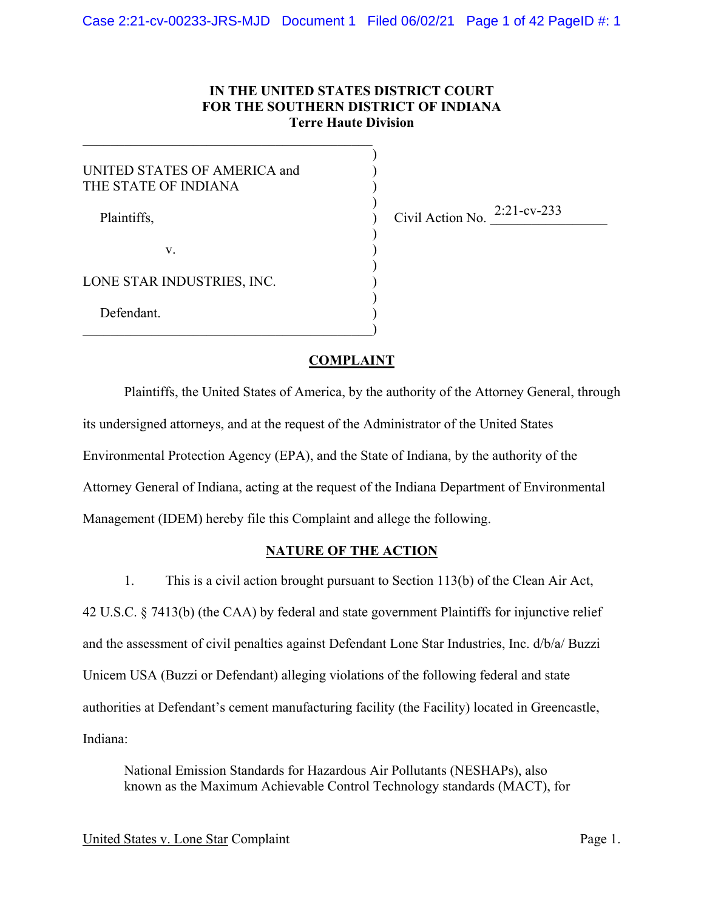# **IN THE UNITED STATES DISTRICT COURT FOR THE SOUTHERN DISTRICT OF INDIANA Terre Haute Division**

)

)

)

 $)$ 

 $)$ 

UNITED STATES OF AMERICA and ) THE STATE OF INDIANA Plaintiffs,

 $\qquad \qquad )$ 

 $\mathbf v.$  )

Civil Action No.  $2:21$ -cv-233

LONE STAR INDUSTRIES, INC.

Defendant.

## **COMPLAINT**

Plaintiffs, the United States of America, by the authority of the Attorney General, through its undersigned attorneys, and at the request of the Administrator of the United States Environmental Protection Agency (EPA), and the State of Indiana, by the authority of the Attorney General of Indiana, acting at the request of the Indiana Department of Environmental Management (IDEM) hereby file this Complaint and allege the following.

## **NATURE OF THE ACTION**

1. This is a civil action brought pursuant to Section 113(b) of the Clean Air Act, 42 U.S.C. § 7413(b) (the CAA) by federal and state government Plaintiffs for injunctive relief and the assessment of civil penalties against Defendant Lone Star Industries, Inc. d/b/a/ Buzzi Unicem USA (Buzzi or Defendant) alleging violations of the following federal and state authorities at Defendant's cement manufacturing facility (the Facility) located in Greencastle, Indiana:

National Emission Standards for Hazardous Air Pollutants (NESHAPs), also known as the Maximum Achievable Control Technology standards (MACT), for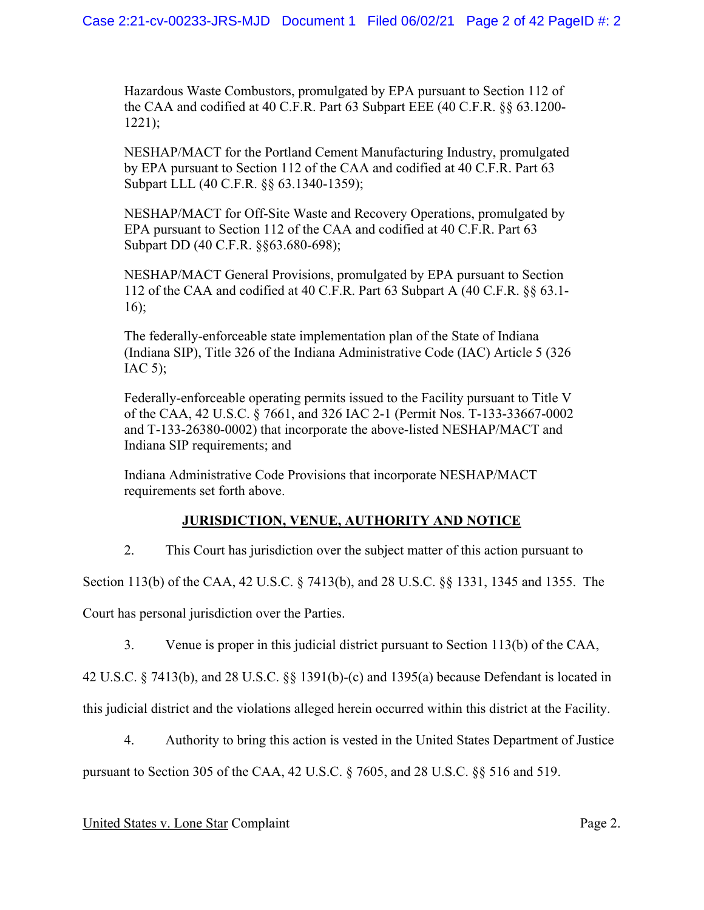Hazardous Waste Combustors, promulgated by EPA pursuant to Section 112 of the CAA and codified at 40 C.F.R. Part 63 Subpart EEE (40 C.F.R. §§ 63.1200- 1221);

NESHAP/MACT for the Portland Cement Manufacturing Industry, promulgated by EPA pursuant to Section 112 of the CAA and codified at 40 C.F.R. Part 63 Subpart LLL (40 C.F.R. §§ 63.1340-1359);

NESHAP/MACT for Off-Site Waste and Recovery Operations, promulgated by EPA pursuant to Section 112 of the CAA and codified at 40 C.F.R. Part 63 Subpart DD (40 C.F.R. §§63.680-698);

NESHAP/MACT General Provisions, promulgated by EPA pursuant to Section 112 of the CAA and codified at 40 C.F.R. Part 63 Subpart A (40 C.F.R. §§ 63.1- 16);

The federally-enforceable state implementation plan of the State of Indiana (Indiana SIP), Title 326 of the Indiana Administrative Code (IAC) Article 5 (326 IAC  $5$ );

Federally-enforceable operating permits issued to the Facility pursuant to Title V of the CAA, 42 U.S.C. § 7661, and 326 IAC 2-1 (Permit Nos. T-133-33667-0002 and T-133-26380-0002) that incorporate the above-listed NESHAP/MACT and Indiana SIP requirements; and

Indiana Administrative Code Provisions that incorporate NESHAP/MACT requirements set forth above.

# **JURISDICTION, VENUE, AUTHORITY AND NOTICE**

2. This Court has jurisdiction over the subject matter of this action pursuant to

Section 113(b) of the CAA, 42 U.S.C. § 7413(b), and 28 U.S.C. §§ 1331, 1345 and 1355. The

Court has personal jurisdiction over the Parties.

3. Venue is proper in this judicial district pursuant to Section 113(b) of the CAA,

42 U.S.C. § 7413(b), and 28 U.S.C. §§ 1391(b)-(c) and 1395(a) because Defendant is located in

this judicial district and the violations alleged herein occurred within this district at the Facility.

4. Authority to bring this action is vested in the United States Department of Justice pursuant to Section 305 of the CAA, 42 U.S.C. § 7605, and 28 U.S.C. §§ 516 and 519.

# United States v. Lone Star Complaint Page 2.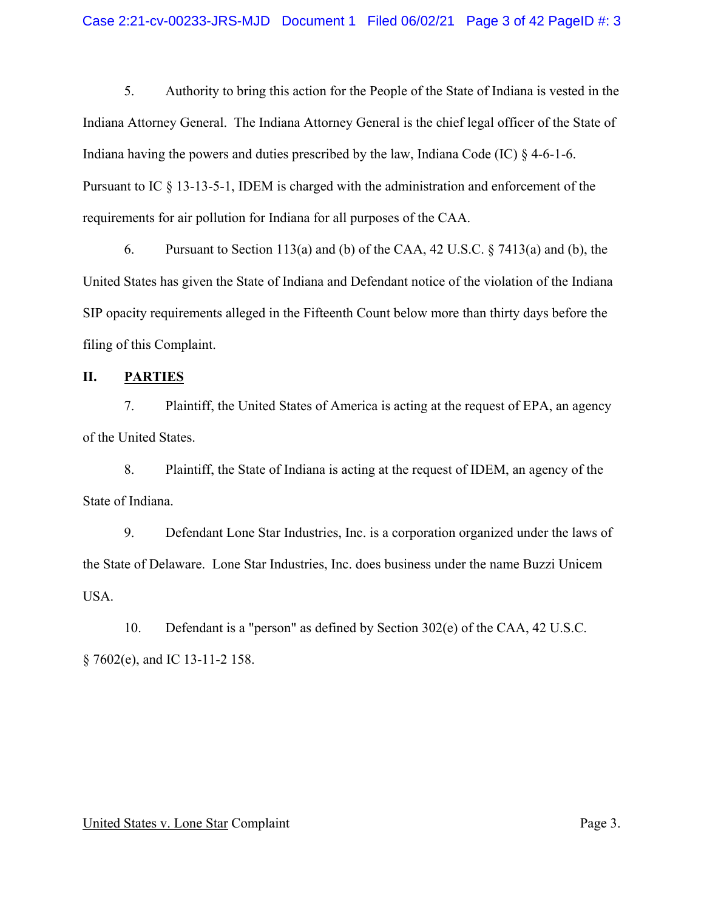5. Authority to bring this action for the People of the State of Indiana is vested in the Indiana Attorney General. The Indiana Attorney General is the chief legal officer of the State of Indiana having the powers and duties prescribed by the law, Indiana Code (IC)  $\S$  4-6-1-6. Pursuant to IC § 13-13-5-1, IDEM is charged with the administration and enforcement of the requirements for air pollution for Indiana for all purposes of the CAA.

6. Pursuant to Section 113(a) and (b) of the CAA, 42 U.S.C. § 7413(a) and (b), the United States has given the State of Indiana and Defendant notice of the violation of the Indiana SIP opacity requirements alleged in the Fifteenth Count below more than thirty days before the filing of this Complaint.

## **II. PARTIES**

7. Plaintiff, the United States of America is acting at the request of EPA, an agency of the United States.

8. Plaintiff, the State of Indiana is acting at the request of IDEM, an agency of the State of Indiana.

9. Defendant Lone Star Industries, Inc. is a corporation organized under the laws of the State of Delaware. Lone Star Industries, Inc. does business under the name Buzzi Unicem USA.

10. Defendant is a "person" as defined by Section 302(e) of the CAA, 42 U.S.C. § 7602(e), and IC 13-11-2 158.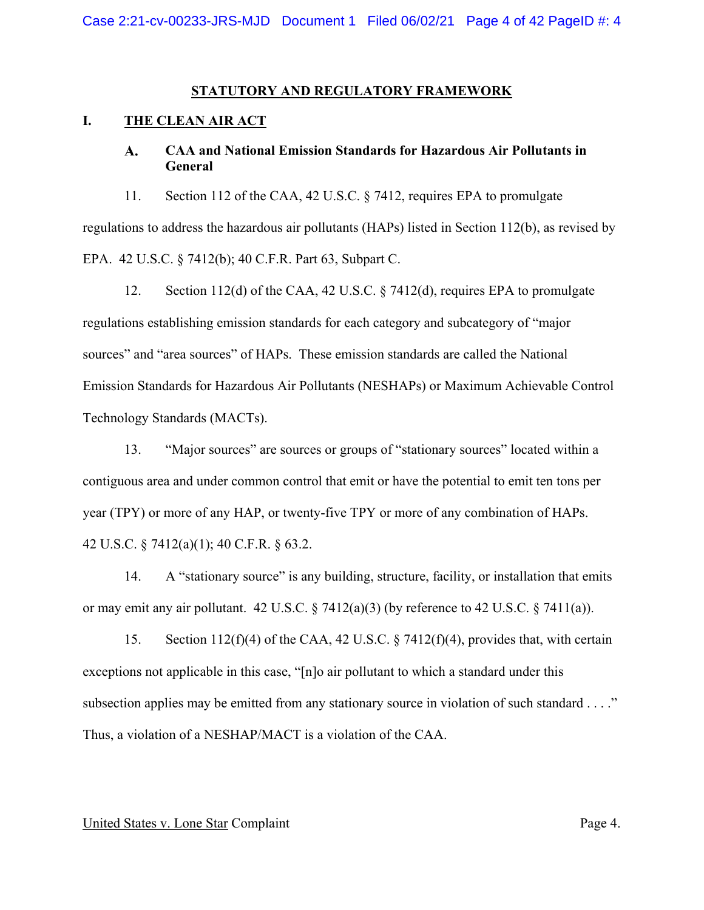## **STATUTORY AND REGULATORY FRAMEWORK**

# **I. THE CLEAN AIR ACT**

#### A. **CAA and National Emission Standards for Hazardous Air Pollutants in General**

11. Section 112 of the CAA, 42 U.S.C. § 7412, requires EPA to promulgate regulations to address the hazardous air pollutants (HAPs) listed in Section 112(b), as revised by EPA. 42 U.S.C. § 7412(b); 40 C.F.R. Part 63, Subpart C.

12. Section 112(d) of the CAA, 42 U.S.C. § 7412(d), requires EPA to promulgate regulations establishing emission standards for each category and subcategory of "major sources" and "area sources" of HAPs. These emission standards are called the National Emission Standards for Hazardous Air Pollutants (NESHAPs) or Maximum Achievable Control Technology Standards (MACTs).

13. "Major sources" are sources or groups of "stationary sources" located within a contiguous area and under common control that emit or have the potential to emit ten tons per year (TPY) or more of any HAP, or twenty-five TPY or more of any combination of HAPs. 42 U.S.C. § 7412(a)(1); 40 C.F.R. § 63.2.

14. A "stationary source" is any building, structure, facility, or installation that emits or may emit any air pollutant.  $42 \text{ U.S.C.}$  §  $7412(a)(3)$  (by reference to  $42 \text{ U.S.C.}$  §  $7411(a)$ ).

15. Section 112(f)(4) of the CAA, 42 U.S.C. § 7412(f)(4), provides that, with certain exceptions not applicable in this case, "[n]o air pollutant to which a standard under this subsection applies may be emitted from any stationary source in violation of such standard . . . ." Thus, a violation of a NESHAP/MACT is a violation of the CAA.

#### United States v. Lone Star Complaint Page 4.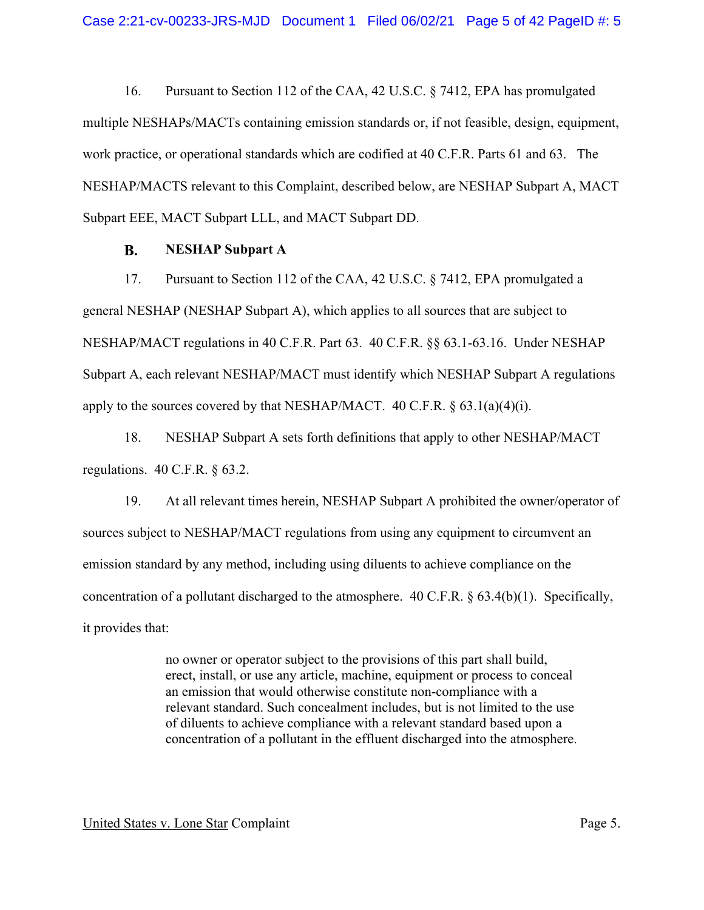16. Pursuant to Section 112 of the CAA, 42 U.S.C. § 7412, EPA has promulgated multiple NESHAPs/MACTs containing emission standards or, if not feasible, design, equipment, work practice, or operational standards which are codified at 40 C.F.R. Parts 61 and 63. The NESHAP/MACTS relevant to this Complaint, described below, are NESHAP Subpart A, MACT Subpart EEE, MACT Subpart LLL, and MACT Subpart DD.

#### **B. NESHAP Subpart A**

17. Pursuant to Section 112 of the CAA, 42 U.S.C. § 7412, EPA promulgated a general NESHAP (NESHAP Subpart A), which applies to all sources that are subject to NESHAP/MACT regulations in 40 C.F.R. Part 63. 40 C.F.R. §§ [63.1-63.16.](https://63.1-63.16) Under NESHAP Subpart A, each relevant NESHAP/MACT must identify which NESHAP Subpart A regulations apply to the sources covered by that NESHAP/MACT.  $40 \text{ C.F.R.}$   $\frac{63.1(a)(4)(i)}{i}$ .

18. NESHAP Subpart A sets forth definitions that apply to other NESHAP/MACT regulations. 40 C.F.R. § 63.2.

19. At all relevant times herein, NESHAP Subpart A prohibited the owner/operator of sources subject to NESHAP/MACT regulations from using any equipment to circumvent an emission standard by any method, including using diluents to achieve compliance on the concentration of a pollutant discharged to the atmosphere. 40 C.F.R. § 63.4(b)(1). Specifically, it provides that:

> no owner or operator subject to the provisions of this part shall build, erect, install, or use any article, machine, equipment or process to conceal an emission that would otherwise constitute non-compliance with a relevant standard. Such concealment includes, but is not limited to the use of diluents to achieve compliance with a relevant standard based upon a concentration of a pollutant in the effluent discharged into the atmosphere.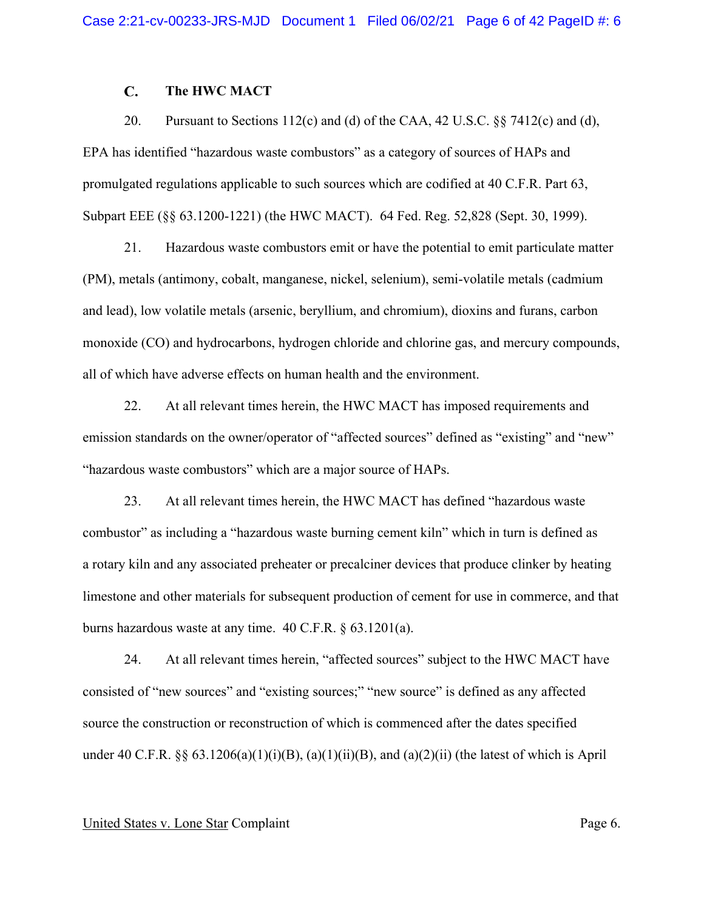#### $\overline{C}$ . **The HWC MACT**

20. Pursuant to Sections 112(c) and (d) of the CAA, 42 U.S.C.  $\S$  7412(c) and (d), EPA has identified "hazardous waste combustors" as a category of sources of HAPs and promulgated regulations applicable to such sources which are codified at 40 C.F.R. Part 63, Subpart EEE (§§ 63.1200-1221) (the HWC MACT). 64 Fed. Reg. 52,828 (Sept. 30, 1999).

21. Hazardous waste combustors emit or have the potential to emit particulate matter (PM), metals (antimony, cobalt, manganese, nickel, selenium), semi-volatile metals (cadmium and lead), low volatile metals (arsenic, beryllium, and chromium), dioxins and furans, carbon monoxide (CO) and hydrocarbons, hydrogen chloride and chlorine gas, and mercury compounds, all of which have adverse effects on human health and the environment.

22. At all relevant times herein, the HWC MACT has imposed requirements and emission standards on the owner/operator of "affected sources" defined as "existing" and "new" "hazardous waste combustors" which are a major source of HAPs.

23. At all relevant times herein, the HWC MACT has defined "hazardous waste combustor" as including a "hazardous waste burning cement kiln" which in turn is defined as a rotary kiln and any associated preheater or precalciner devices that produce clinker by heating limestone and other materials for subsequent production of cement for use in commerce, and that burns hazardous waste at any time. 40 C.F.R. § 63.1201(a).

24. At all relevant times herein, "affected sources" subject to the HWC MACT have consisted of "new sources" and "existing sources;" "new source" is defined as any affected source the construction or reconstruction of which is commenced after the dates specified under 40 C.F.R.  $\S$ § 63.1206(a)(1)(i)(B), (a)(1)(ii)(B), and (a)(2)(ii) (the latest of which is April

### United States v. Lone Star Complaint Page 6.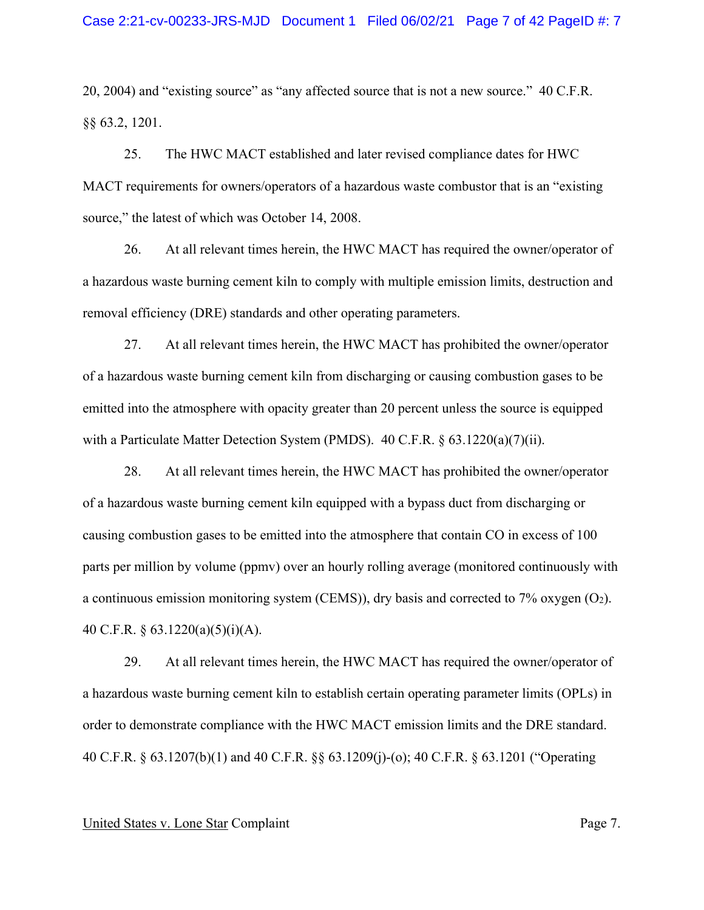20, 2004) and "existing source" as "any affected source that is not a new source." 40 C.F.R. §§ 63.2, 1201.

25. The HWC MACT established and later revised compliance dates for HWC MACT requirements for owners/operators of a hazardous waste combustor that is an "existing source," the latest of which was October 14, 2008.

26. At all relevant times herein, the HWC MACT has required the owner/operator of a hazardous waste burning cement kiln to comply with multiple emission limits, destruction and removal efficiency (DRE) standards and other operating parameters.

27. At all relevant times herein, the HWC MACT has prohibited the owner/operator of a hazardous waste burning cement kiln from discharging or causing combustion gases to be emitted into the atmosphere with opacity greater than 20 percent unless the source is equipped with a Particulate Matter Detection System (PMDS).  $40 \text{ C.F.R.} \$   $63.1220(a)(7)(ii)$ .

28. At all relevant times herein, the HWC MACT has prohibited the owner/operator of a hazardous waste burning cement kiln equipped with a bypass duct from discharging or causing combustion gases to be emitted into the atmosphere that contain CO in excess of 100 parts per million by volume (ppmv) over an hourly rolling average (monitored continuously with a continuous emission monitoring system (CEMS)), dry basis and corrected to 7% oxygen (O2). 40 C.F.R. § 63.1220(a)(5)(i)(A).

29. At all relevant times herein, the HWC MACT has required the owner/operator of a hazardous waste burning cement kiln to establish certain operating parameter limits (OPLs) in order to demonstrate compliance with the HWC MACT emission limits and the DRE standard. 40 C.F.R. § 63.1207(b)(1) and 40 C.F.R. §§ 63.1209(j)-(o); 40 C.F.R. § 63.1201 ("Operating

### United States v. Lone Star Complaint Page 7.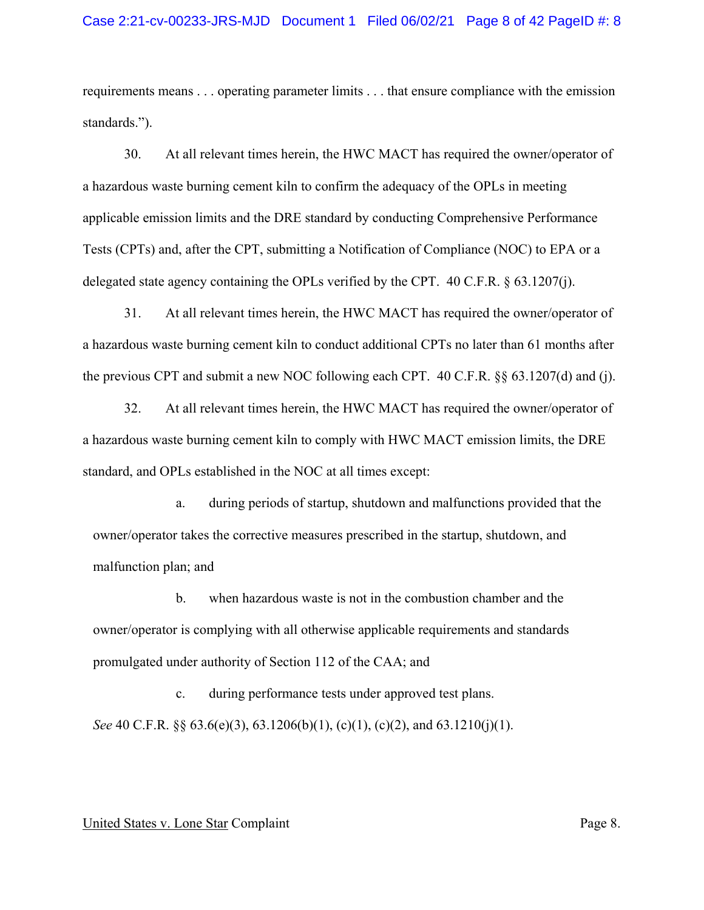requirements means . . . operating parameter limits . . . that ensure compliance with the emission standards.").

30. At all relevant times herein, the HWC MACT has required the owner/operator of a hazardous waste burning cement kiln to confirm the adequacy of the OPLs in meeting applicable emission limits and the DRE standard by conducting Comprehensive Performance Tests (CPTs) and, after the CPT, submitting a Notification of Compliance (NOC) to EPA or a delegated state agency containing the OPLs verified by the CPT. 40 C.F.R. § 63.1207(j).

31. At all relevant times herein, the HWC MACT has required the owner/operator of a hazardous waste burning cement kiln to conduct additional CPTs no later than 61 months after the previous CPT and submit a new NOC following each CPT. 40 C.F.R. §§ 63.1207(d) and (j).

32. At all relevant times herein, the HWC MACT has required the owner/operator of a hazardous waste burning cement kiln to comply with HWC MACT emission limits, the DRE standard, and OPLs established in the NOC at all times except:

a. during periods of startup, shutdown and malfunctions provided that the owner/operator takes the corrective measures prescribed in the startup, shutdown, and malfunction plan; and

b. when hazardous waste is not in the combustion chamber and the owner/operator is complying with all otherwise applicable requirements and standards promulgated under authority of Section 112 of the CAA; and

c. during performance tests under approved test plans. *See* 40 C.F.R. §§ 63.6(e)(3), 63.1206(b)(1), (c)(1), (c)(2), and 63.1210(j)(1).

#### United States v. Lone Star Complaint Page 8.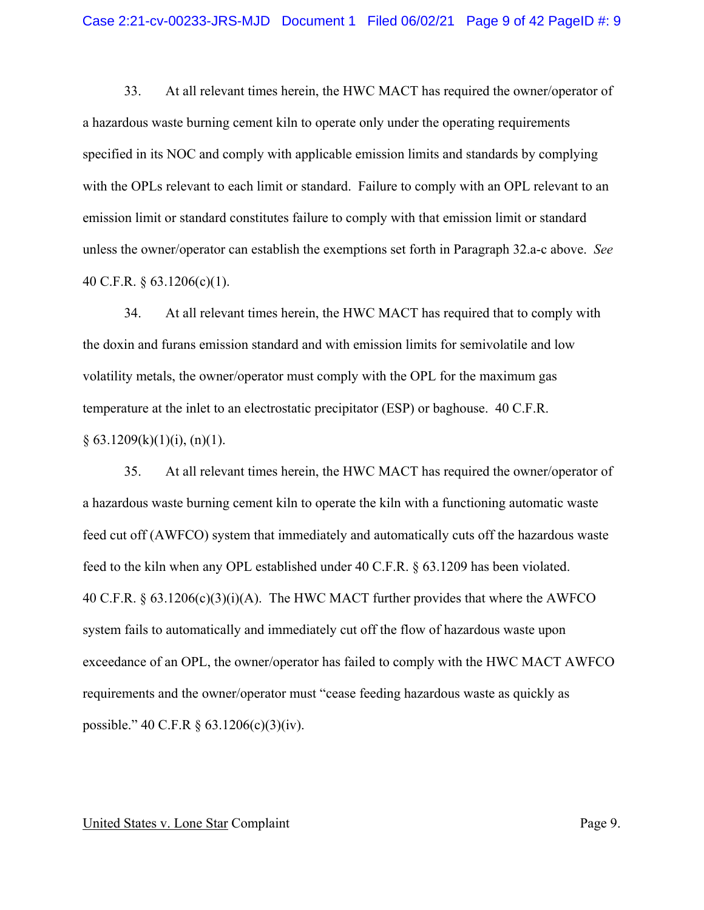33. At all relevant times herein, the HWC MACT has required the owner/operator of a hazardous waste burning cement kiln to operate only under the operating requirements specified in its NOC and comply with applicable emission limits and standards by complying with the OPLs relevant to each limit or standard. Failure to comply with an OPL relevant to an emission limit or standard constitutes failure to comply with that emission limit or standard unless the owner/operator can establish the exemptions set forth in Paragraph 32.a-c above. *See*  40 C.F.R. § 63.1206(c)(1).

34. At all relevant times herein, the HWC MACT has required that to comply with the doxin and furans emission standard and with emission limits for semivolatile and low volatility metals, the owner/operator must comply with the OPL for the maximum gas temperature at the inlet to an electrostatic precipitator (ESP) or baghouse. 40 C.F.R.  $§ 63.1209(k)(1)(i), (n)(1).$ 

35. At all relevant times herein, the HWC MACT has required the owner/operator of a hazardous waste burning cement kiln to operate the kiln with a functioning automatic waste feed cut off (AWFCO) system that immediately and automatically cuts off the hazardous waste feed to the kiln when any OPL established under 40 C.F.R. § 63.1209 has been violated. 40 C.F.R.  $\S 63.1206(c)(3)(i)(A)$ . The HWC MACT further provides that where the AWFCO system fails to automatically and immediately cut off the flow of hazardous waste upon exceedance of an OPL, the owner/operator has failed to comply with the HWC MACT AWFCO requirements and the owner/operator must "cease feeding hazardous waste as quickly as possible." 40 C.F.R § 63.1206(c)(3)(iv).

### United States v. Lone Star Complaint Page 9.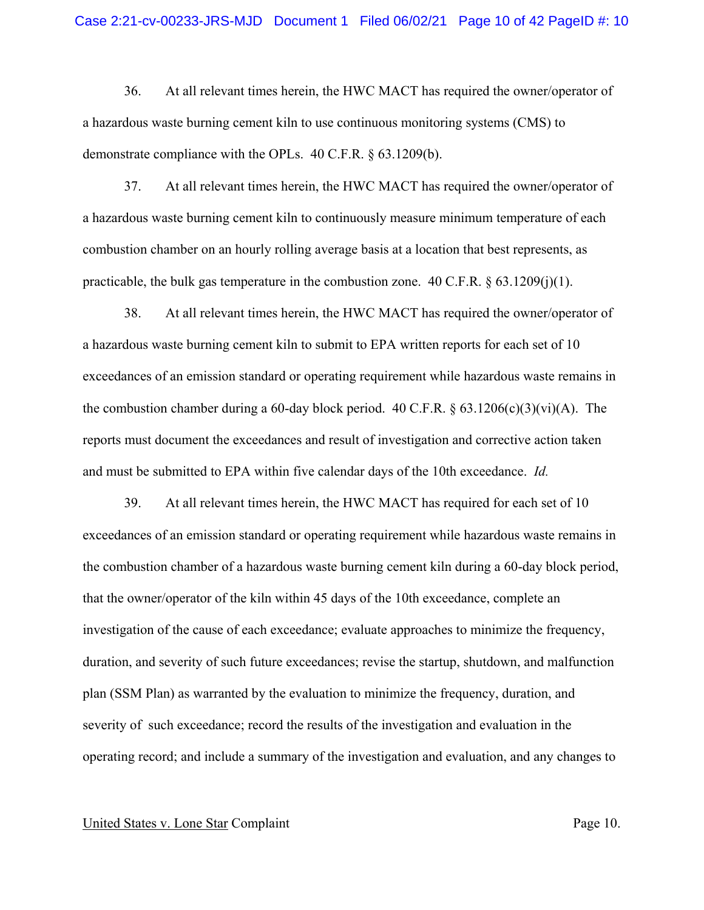36. At all relevant times herein, the HWC MACT has required the owner/operator of a hazardous waste burning cement kiln to use continuous monitoring systems (CMS) to demonstrate compliance with the OPLs. 40 C.F.R. § 63.1209(b).

37. At all relevant times herein, the HWC MACT has required the owner/operator of a hazardous waste burning cement kiln to continuously measure minimum temperature of each combustion chamber on an hourly rolling average basis at a location that best represents, as practicable, the bulk gas temperature in the combustion zone.  $40 \text{ C.F.R.}$  §  $63.1209(j)(1)$ .

38. At all relevant times herein, the HWC MACT has required the owner/operator of a hazardous waste burning cement kiln to submit to EPA written reports for each set of 10 exceedances of an emission standard or operating requirement while hazardous waste remains in the combustion chamber during a 60-day block period. 40 C.F.R.  $\S 63.1206(c)(3)(vi)(A)$ . The reports must document the exceedances and result of investigation and corrective action taken and must be submitted to EPA within five calendar days of the 10th exceedance. *Id.* 

39. At all relevant times herein, the HWC MACT has required for each set of 10 exceedances of an emission standard or operating requirement while hazardous waste remains in the combustion chamber of a hazardous waste burning cement kiln during a 60-day block period, that the owner/operator of the kiln within 45 days of the 10th exceedance, complete an investigation of the cause of each exceedance; evaluate approaches to minimize the frequency, duration, and severity of such future exceedances; revise the startup, shutdown, and malfunction plan (SSM Plan) as warranted by the evaluation to minimize the frequency, duration, and severity of such exceedance; record the results of the investigation and evaluation in the operating record; and include a summary of the investigation and evaluation, and any changes to

### United States v. Lone Star Complaint Page 10.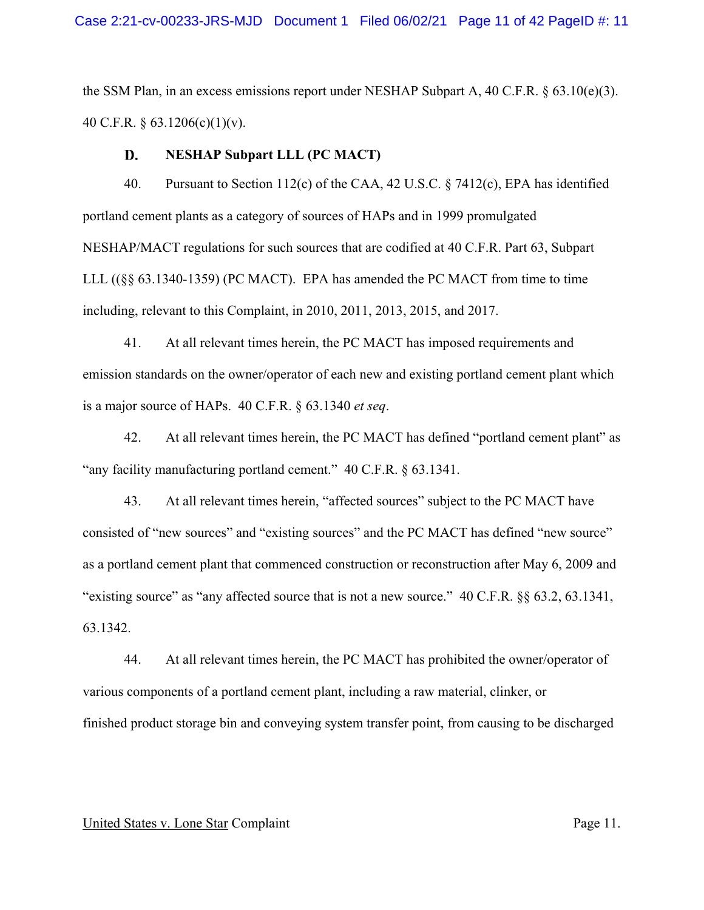the SSM Plan, in an excess emissions report under NESHAP Subpart A, 40 C.F.R. § 63.10(e)(3). 40 C.F.R. § 63.1206(c)(1)(v).

#### D. **NESHAP Subpart LLL (PC MACT)**

40. Pursuant to Section 112(c) of the CAA, 42 U.S.C. § 7412(c), EPA has identified portland cement plants as a category of sources of HAPs and in 1999 promulgated NESHAP/MACT regulations for such sources that are codified at 40 C.F.R. Part 63, Subpart LLL ((§§ 63.1340-1359) (PC MACT). EPA has amended the PC MACT from time to time including, relevant to this Complaint, in 2010, 2011, 2013, 2015, and 2017.

41. At all relevant times herein, the PC MACT has imposed requirements and emission standards on the owner/operator of each new and existing portland cement plant which is a major source of HAPs. 40 C.F.R. § 63.1340 *et seq*.

42. At all relevant times herein, the PC MACT has defined "portland cement plant" as "any facility manufacturing portland cement." 40 C.F.R. § 63.1341.

43. At all relevant times herein, "affected sources" subject to the PC MACT have consisted of "new sources" and "existing sources" and the PC MACT has defined "new source" as a portland cement plant that commenced construction or reconstruction after May 6, 2009 and "existing source" as "any affected source that is not a new source." 40 C.F.R. §§ 63.2, 63.1341, 63.1342.

44. At all relevant times herein, the PC MACT has prohibited the owner/operator of various components of a portland cement plant, including a raw material, clinker, or finished product storage bin and conveying system transfer point, from causing to be discharged

### United States v. Lone Star Complaint Page 11.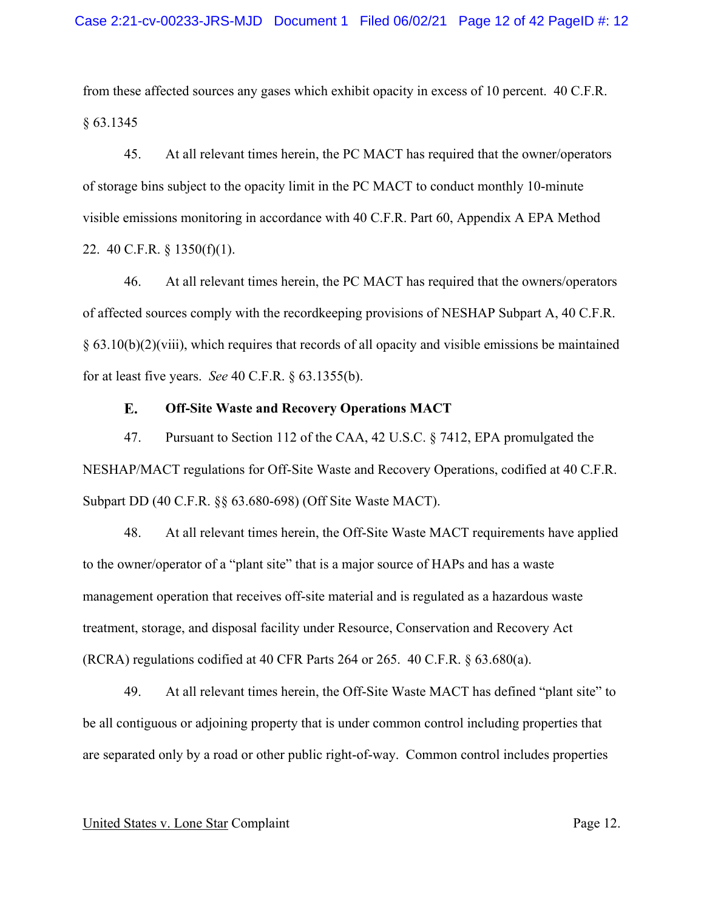from these affected sources any gases which exhibit opacity in excess of 10 percent. 40 C.F.R. § 63.1345

45. At all relevant times herein, the PC MACT has required that the owner/operators of storage bins subject to the opacity limit in the PC MACT to conduct monthly 10-minute visible emissions monitoring in accordance with 40 C.F.R. Part 60, Appendix A EPA Method 22. 40 C.F.R. § 1350(f)(1).

46. At all relevant times herein, the PC MACT has required that the owners/operators of affected sources comply with the recordkeeping provisions of NESHAP Subpart A, 40 C.F.R. § 63.10(b)(2)(viii), which requires that records of all opacity and visible emissions be maintained for at least five years. *See* 40 C.F.R. § 63.1355(b).

#### E. **Off-Site Waste and Recovery Operations MACT**

47. Pursuant to Section 112 of the CAA, 42 U.S.C. § 7412, EPA promulgated the NESHAP/MACT regulations for Off-Site Waste and Recovery Operations, codified at 40 C.F.R. Subpart DD (40 C.F.R. §§ 63.680-698) (Off Site Waste MACT).

48. At all relevant times herein, the Off-Site Waste MACT requirements have applied to the owner/operator of a "plant site" that is a major source of HAPs and has a waste management operation that receives off-site material and is regulated as a hazardous waste treatment, storage, and disposal facility under Resource, Conservation and Recovery Act (RCRA) regulations codified at 40 CFR Parts 264 or 265. 40 C.F.R. § 63.680(a).

49. At all relevant times herein, the Off-Site Waste MACT has defined "plant site" to be all contiguous or adjoining property that is under common control including properties that are separated only by a road or other public right-of-way. Common control includes properties

#### United States v. Lone Star Complaint Page 12.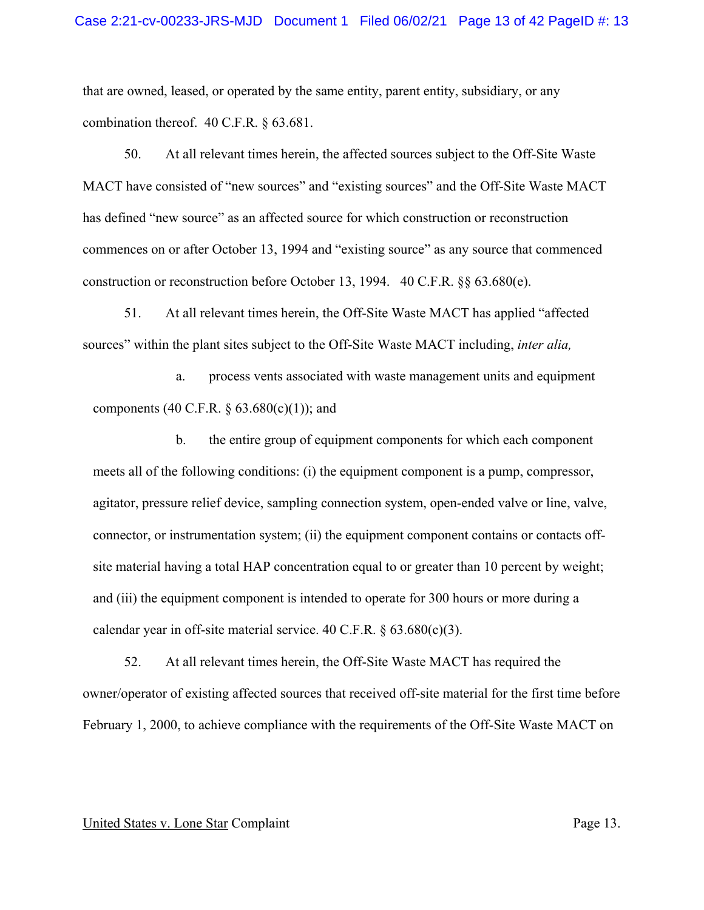that are owned, leased, or operated by the same entity, parent entity, subsidiary, or any combination thereof. 40 C.F.R. § 63.681.

50. At all relevant times herein, the affected sources subject to the Off-Site Waste MACT have consisted of "new sources" and "existing sources" and the Off-Site Waste MACT has defined "new source" as an affected source for which construction or reconstruction commences on or after October 13, 1994 and "existing source" as any source that commenced construction or reconstruction before October 13, 1994. 40 C.F.R.  $\S$  63.680(e).

51. At all relevant times herein, the Off-Site Waste MACT has applied "affected sources" within the plant sites subject to the Off-Site Waste MACT including, *inter alia,* 

a. process vents associated with waste management units and equipment components (40 C.F.R.  $\S 63.680(c)(1)$ ); and

b. the entire group of equipment components for which each component meets all of the following conditions: (i) the equipment component is a pump, compressor, agitator, pressure relief device, sampling connection system, open-ended valve or line, valve, connector, or instrumentation system; (ii) the equipment component contains or contacts offsite material having a total HAP concentration equal to or greater than 10 percent by weight; and (iii) the equipment component is intended to operate for 300 hours or more during a calendar year in off-site material service. 40 C.F.R.  $\S 63.680(c)(3)$ .

52. At all relevant times herein, the Off-Site Waste MACT has required the owner/operator of existing affected sources that received off-site material for the first time before February 1, 2000, to achieve compliance with the requirements of the Off-Site Waste MACT on

#### United States v. Lone Star Complaint Page 13.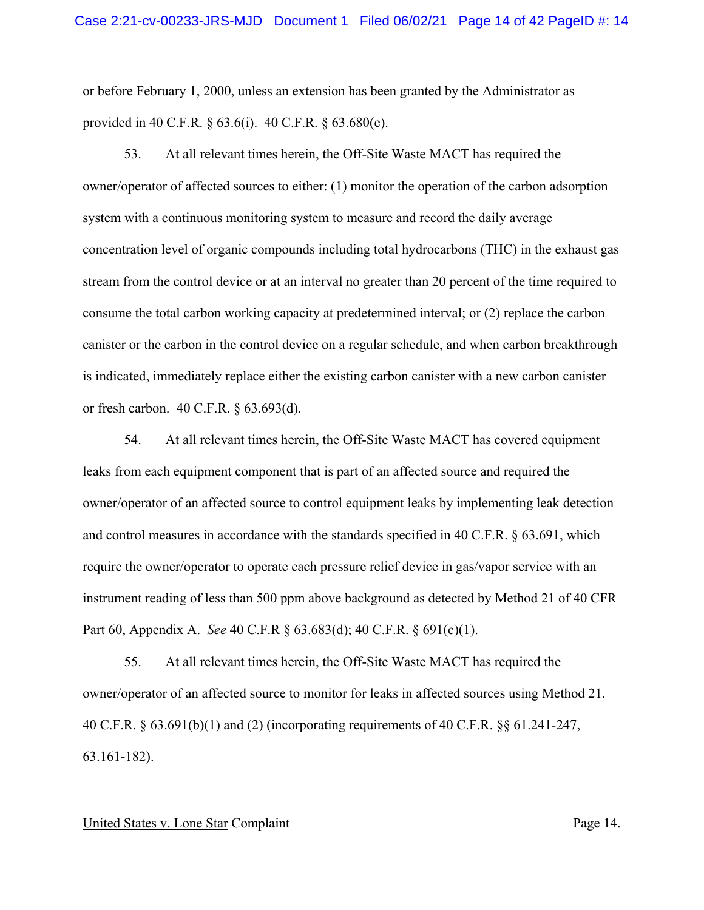or before February 1, 2000, unless an extension has been granted by the Administrator as provided in 40 C.F.R. § 63.6(i). 40 C.F.R. § 63.680(e).

53. At all relevant times herein, the Off-Site Waste MACT has required the owner/operator of affected sources to either: (1) monitor the operation of the carbon adsorption system with a continuous monitoring system to measure and record the daily average concentration level of organic compounds including total hydrocarbons (THC) in the exhaust gas stream from the control device or at an interval no greater than 20 percent of the time required to consume the total carbon working capacity at predetermined interval; or (2) replace the carbon canister or the carbon in the control device on a regular schedule, and when carbon breakthrough is indicated, immediately replace either the existing carbon canister with a new carbon canister or fresh carbon. 40 C.F.R. § 63.693(d).

54. At all relevant times herein, the Off-Site Waste MACT has covered equipment leaks from each equipment component that is part of an affected source and required the owner/operator of an affected source to control equipment leaks by implementing leak detection and control measures in accordance with the standards specified in 40 C.F.R. § 63.691, which require the owner/operator to operate each pressure relief device in gas/vapor service with an instrument reading of less than 500 ppm above background as detected by Method 21 of 40 CFR Part 60, Appendix A. *See* 40 C.F.R § 63.683(d); 40 C.F.R. § 691(c)(1).

55. At all relevant times herein, the Off-Site Waste MACT has required the owner/operator of an affected source to monitor for leaks in affected sources using Method 21. 40 C.F.R. § 63.691(b)(1) and (2) (incorporating requirements of 40 C.F.R. §§ 61.241-247, 63.161-182).

#### United States v. Lone Star Complaint Page 14.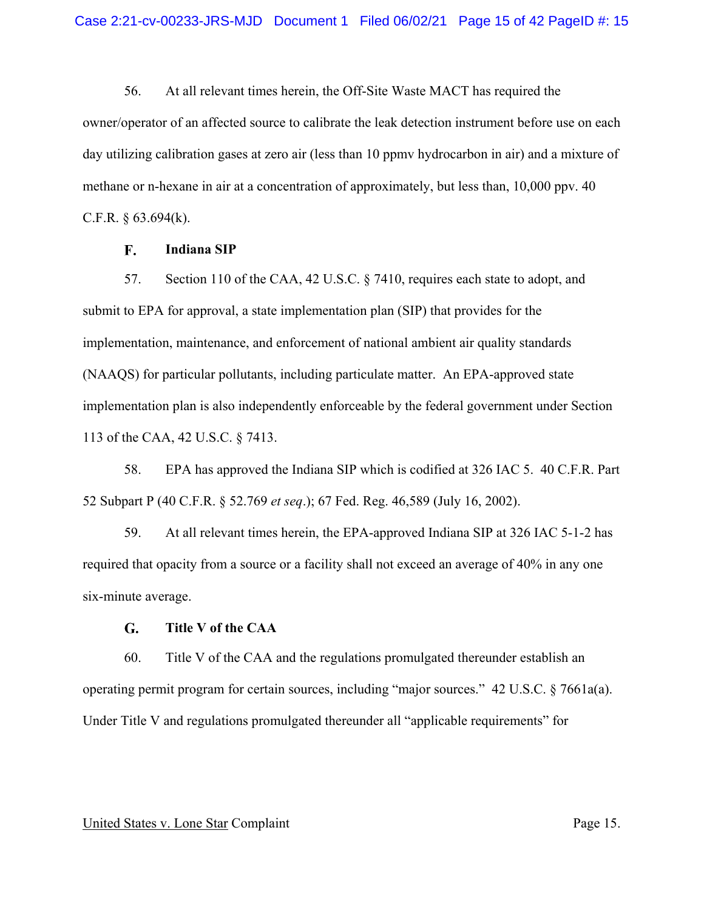56. At all relevant times herein, the Off-Site Waste MACT has required the owner/operator of an affected source to calibrate the leak detection instrument before use on each day utilizing calibration gases at zero air (less than 10 ppmv hydrocarbon in air) and a mixture of methane or n-hexane in air at a concentration of approximately, but less than, 10,000 ppv. 40 C.F.R.  $§$  63.694(k).

#### F. **Indiana SIP**

57. Section 110 of the CAA, 42 U.S.C. § 7410, requires each state to adopt, and submit to EPA for approval, a state implementation plan (SIP) that provides for the implementation, maintenance, and enforcement of national ambient air quality standards (NAAQS) for particular pollutants, including particulate matter. An EPA-approved state implementation plan is also independently enforceable by the federal government under Section 113 of the CAA, 42 U.S.C. § 7413.

58. EPA has approved the Indiana SIP which is codified at 326 IAC 5. 40 C.F.R. Part 52 Subpart P (40 C.F.R. § 52.769 *et seq*.); 67 Fed. Reg. 46,589 (July 16, 2002).

59. At all relevant times herein, the EPA-approved Indiana SIP at 326 IAC 5-1-2 has required that opacity from a source or a facility shall not exceed an average of 40% in any one six-minute average.

#### $G<sub>r</sub>$ **Title V of the CAA**

60. Title V of the CAA and the regulations promulgated thereunder establish an operating permit program for certain sources, including "major sources." 42 U.S.C. § 7661a(a). Under Title V and regulations promulgated thereunder all "applicable requirements" for

#### United States v. Lone Star Complaint Page 15.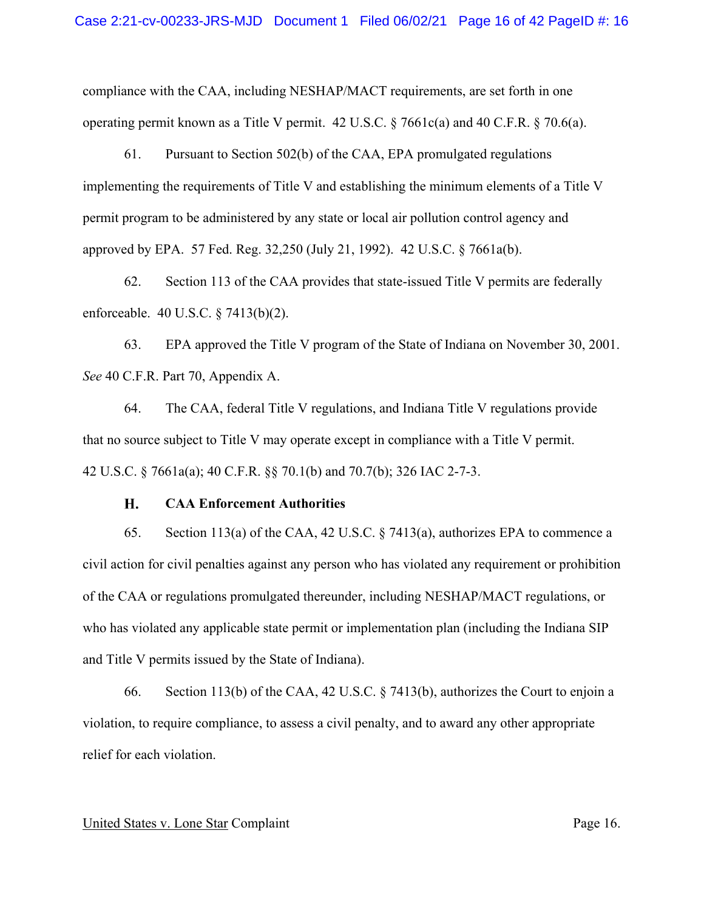compliance with the CAA, including NESHAP/MACT requirements, are set forth in one operating permit known as a Title V permit. 42 U.S.C. § 7661c(a) and 40 C.F.R. § 70.6(a).

61. Pursuant to Section 502(b) of the CAA, EPA promulgated regulations implementing the requirements of Title V and establishing the minimum elements of a Title V permit program to be administered by any state or local air pollution control agency and approved by EPA. 57 Fed. Reg. 32,250 (July 21, 1992). 42 U.S.C. § 7661a(b).

62. Section 113 of the CAA provides that state-issued Title V permits are federally enforceable. 40 U.S.C. § 7413(b)(2).

63. EPA approved the Title V program of the State of Indiana on November 30, 2001. *See* 40 C.F.R. Part 70, Appendix A.

64. The CAA, federal Title V regulations, and Indiana Title V regulations provide that no source subject to Title V may operate except in compliance with a Title V permit. 42 U.S.C. § 7661a(a); 40 C.F.R. §§ 70.1(b) and 70.7(b); 326 IAC 2-7-3.

#### H. **CAA Enforcement Authorities**

65. Section 113(a) of the CAA, 42 U.S.C. § 7413(a), authorizes EPA to commence a civil action for civil penalties against any person who has violated any requirement or prohibition of the CAA or regulations promulgated thereunder, including NESHAP/MACT regulations, or who has violated any applicable state permit or implementation plan (including the Indiana SIP and Title V permits issued by the State of Indiana).

66. Section 113(b) of the CAA, 42 U.S.C. § 7413(b), authorizes the Court to enjoin a violation, to require compliance, to assess a civil penalty, and to award any other appropriate relief for each violation.

### United States v. Lone Star Complaint Page 16.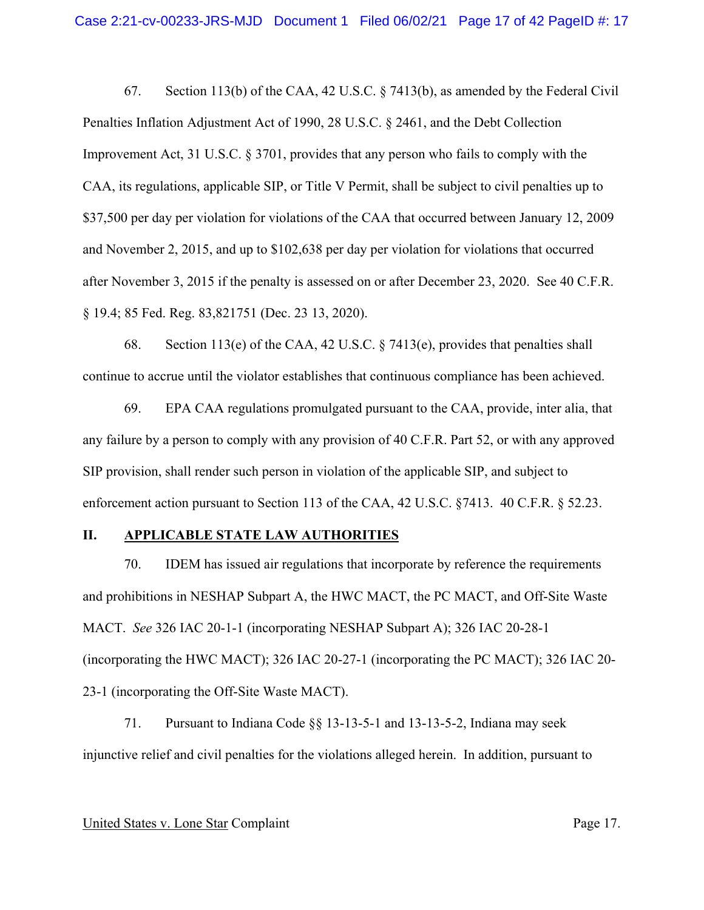67. Section 113(b) of the CAA, 42 U.S.C. § 7413(b), as amended by the Federal Civil Penalties Inflation Adjustment Act of 1990, 28 U.S.C. § 2461, and the Debt Collection Improvement Act, 31 U.S.C. § 3701, provides that any person who fails to comply with the CAA, its regulations, applicable SIP, or Title V Permit, shall be subject to civil penalties up to \$37,500 per day per violation for violations of the CAA that occurred between January 12, 2009 and November 2, 2015, and up to \$102,638 per day per violation for violations that occurred after November 3, 2015 if the penalty is assessed on or after December 23, 2020. See 40 C.F.R. § 19.4; 85 Fed. Reg. 83,821751 (Dec. 23 13, 2020).

68. Section 113(e) of the CAA, 42 U.S.C. § 7413(e), provides that penalties shall continue to accrue until the violator establishes that continuous compliance has been achieved.

69. EPA CAA regulations promulgated pursuant to the CAA, provide, inter alia, that any failure by a person to comply with any provision of 40 C.F.R. Part 52, or with any approved SIP provision, shall render such person in violation of the applicable SIP, and subject to enforcement action pursuant to Section 113 of the CAA, 42 U.S.C. §7413. 40 C.F.R. § 52.23.

# **II. APPLICABLE STATE LAW AUTHORITIES**

70. IDEM has issued air regulations that incorporate by reference the requirements and prohibitions in NESHAP Subpart A, the HWC MACT, the PC MACT, and Off-Site Waste MACT. *See* 326 IAC 20-1-1 (incorporating NESHAP Subpart A); 326 IAC 20-28-1 (incorporating the HWC MACT); 326 IAC 20-27-1 (incorporating the PC MACT); 326 IAC 20- 23-1 (incorporating the Off-Site Waste MACT).

71. Pursuant to Indiana Code §§ 13-13-5-1 and 13-13-5-2, Indiana may seek injunctive relief and civil penalties for the violations alleged herein. In addition, pursuant to

#### United States v. Lone Star Complaint Page 17.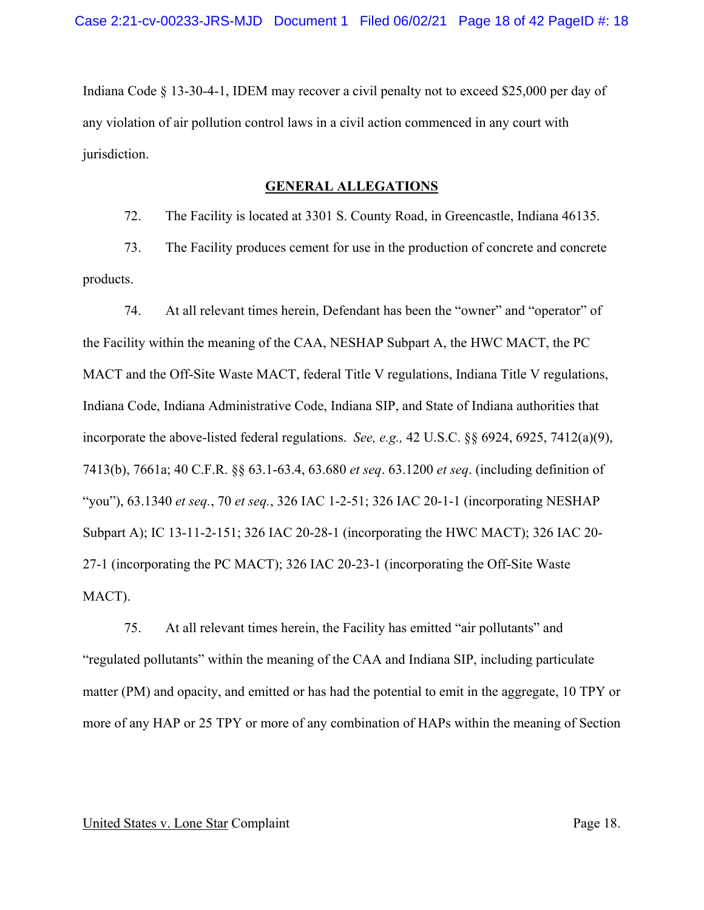Indiana Code § 13-30-4-1, IDEM may recover a civil penalty not to exceed \$25,000 per day of any violation of air pollution control laws in a civil action commenced in any court with jurisdiction.

## **GENERAL ALLEGATIONS**

72. The Facility is located at 3301 S. County Road, in Greencastle, Indiana 46135.

73. The Facility produces cement for use in the production of concrete and concrete products.

74. At all relevant times herein, Defendant has been the "owner" and "operator" of the Facility within the meaning of the CAA, NESHAP Subpart A, the HWC MACT, the PC MACT and the Off-Site Waste MACT, federal Title V regulations, Indiana Title V regulations, Indiana Code, Indiana Administrative Code, Indiana SIP, and State of Indiana authorities that incorporate the above-listed federal regulations. *See, e.g.,* 42 U.S.C. §§ 6924, 6925, 7412(a)(9), 7413(b), 7661a; 40 C.F.R. §§ 63.1-63.4, 63.680 *et seq*. 63.1200 *et seq*. (including definition of "you"), 63.1340 *et seq.*, 70 *et seq.*, 326 IAC 1-2-51; 326 IAC 20-1-1 (incorporating NESHAP Subpart A); IC 13-11-2-151; 326 IAC 20-28-1 (incorporating the HWC MACT); 326 IAC 20- 27-1 (incorporating the PC MACT); 326 IAC 20-23-1 (incorporating the Off-Site Waste MACT).

75. At all relevant times herein, the Facility has emitted "air pollutants" and "regulated pollutants" within the meaning of the CAA and Indiana SIP, including particulate matter (PM) and opacity, and emitted or has had the potential to emit in the aggregate, 10 TPY or more of any HAP or 25 TPY or more of any combination of HAPs within the meaning of Section

### United States v. Lone Star Complaint Page 18.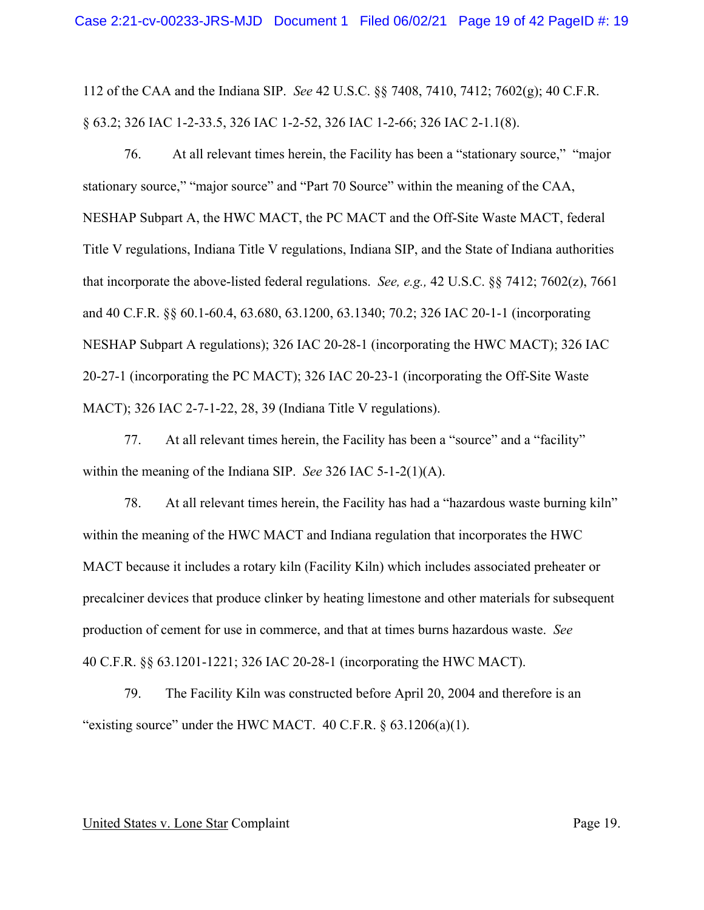112 of the CAA and the Indiana SIP. *See* 42 U.S.C. §§ 7408, 7410, 7412; 7602(g); 40 C.F.R. § 63.2; 326 IAC 1-2-33.5, 326 IAC 1-2-52, 326 IAC 1-2-66; 326 IAC 2-1.1(8).

76. At all relevant times herein, the Facility has been a "stationary source," "major stationary source," "major source" and "Part 70 Source" within the meaning of the CAA, NESHAP Subpart A, the HWC MACT, the PC MACT and the Off-Site Waste MACT, federal Title V regulations, Indiana Title V regulations, Indiana SIP, and the State of Indiana authorities that incorporate the above-listed federal regulations. *See, e.g.,* 42 U.S.C. §§ 7412; 7602(z), 7661 and 40 C.F.R. §§ 60.1-60.4, 63.680, 63.1200, 63.1340; 70.2; 326 IAC 20-1-1 (incorporating NESHAP Subpart A regulations); 326 IAC 20-28-1 (incorporating the HWC MACT); 326 IAC 20-27-1 (incorporating the PC MACT); 326 IAC 20-23-1 (incorporating the Off-Site Waste MACT); 326 IAC 2-7-1-22, 28, 39 (Indiana Title V regulations).

77. At all relevant times herein, the Facility has been a "source" and a "facility" within the meaning of the Indiana SIP. *See* 326 IAC 5-1-2(1)(A).

78. At all relevant times herein, the Facility has had a "hazardous waste burning kiln" within the meaning of the HWC MACT and Indiana regulation that incorporates the HWC MACT because it includes a rotary kiln (Facility Kiln) which includes associated preheater or precalciner devices that produce clinker by heating limestone and other materials for subsequent production of cement for use in commerce, and that at times burns hazardous waste. *See*  40 C.F.R. §§ 63.1201-1221; 326 IAC 20-28-1 (incorporating the HWC MACT).

79. The Facility Kiln was constructed before April 20, 2004 and therefore is an "existing source" under the HWC MACT.  $40$  C.F.R.  $\S$  63.1206(a)(1).

#### United States v. Lone Star Complaint Page 19.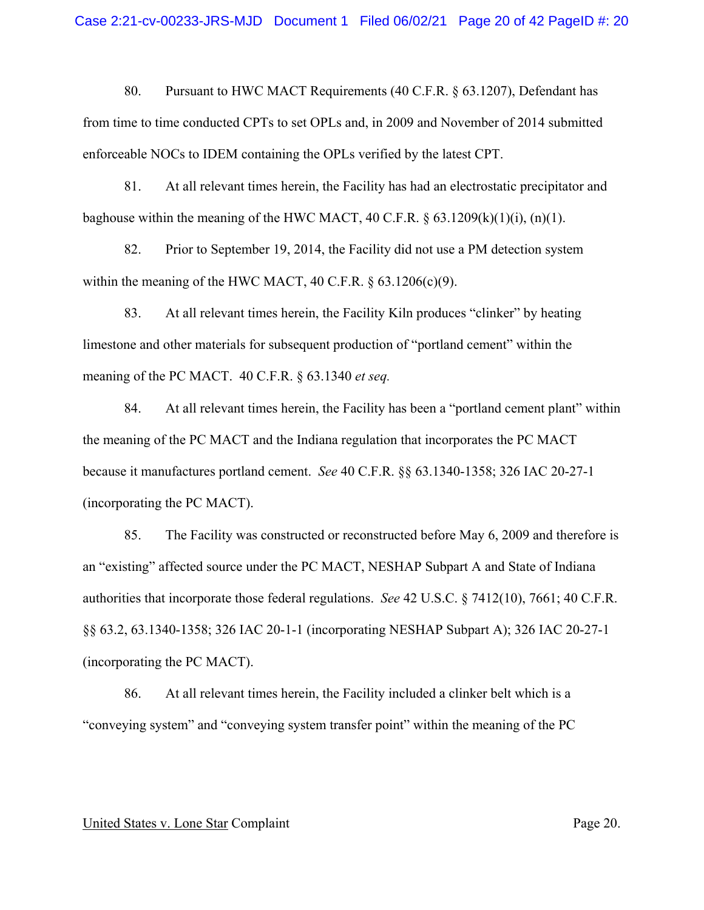80. Pursuant to HWC MACT Requirements (40 C.F.R. § 63.1207), Defendant has from time to time conducted CPTs to set OPLs and, in 2009 and November of 2014 submitted enforceable NOCs to IDEM containing the OPLs verified by the latest CPT.

81. At all relevant times herein, the Facility has had an electrostatic precipitator and baghouse within the meaning of the HWC MACT, 40 C.F.R.  $\S 63.1209(k)(1)(i)$ , (n)(1).

82. Prior to September 19, 2014, the Facility did not use a PM detection system within the meaning of the HWC MACT, 40 C.F.R.  $\S$  63.1206(c)(9).

83. At all relevant times herein, the Facility Kiln produces "clinker" by heating limestone and other materials for subsequent production of "portland cement" within the meaning of the PC MACT. 40 C.F.R. § 63.1340 *et seq.* 

84. At all relevant times herein, the Facility has been a "portland cement plant" within the meaning of the PC MACT and the Indiana regulation that incorporates the PC MACT because it manufactures portland cement. *See* 40 C.F.R. §§ 63.1340-1358; 326 IAC 20-27-1 (incorporating the PC MACT).

85. The Facility was constructed or reconstructed before May 6, 2009 and therefore is an "existing" affected source under the PC MACT, NESHAP Subpart A and State of Indiana authorities that incorporate those federal regulations. *See* 42 U.S.C. § 7412(10), 7661; 40 C.F.R. §§ 63.2, 63.1340-1358; 326 IAC 20-1-1 (incorporating NESHAP Subpart A); 326 IAC 20-27-1 (incorporating the PC MACT).

86. At all relevant times herein, the Facility included a clinker belt which is a "conveying system" and "conveying system transfer point" within the meaning of the PC

### United States v. Lone Star Complaint Page 20.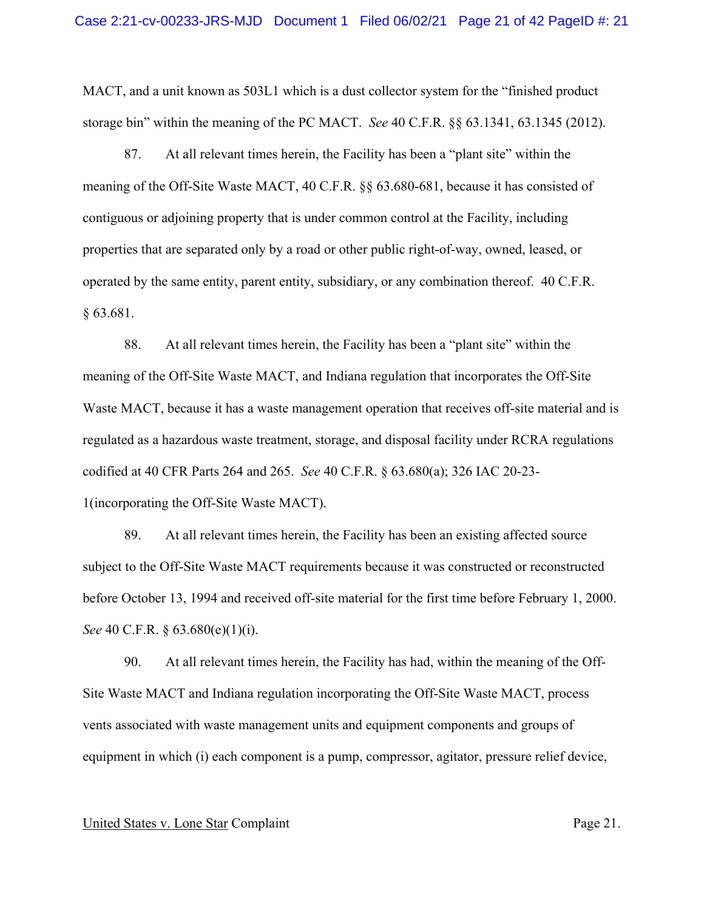MACT, and a unit known as 503L1 which is a dust collector system for the "finished product storage bin" within the meaning of the PC MACT. *See* 40 C.F.R. §§ 63.1341, 63.1345 (2012).

87. At all relevant times herein, the Facility has been a "plant site" within the meaning of the Off-Site Waste MACT, 40 C.F.R. §§ 63.680-681, because it has consisted of contiguous or adjoining property that is under common control at the Facility, including properties that are separated only by a road or other public right-of-way, owned, leased, or operated by the same entity, parent entity, subsidiary, or any combination thereof. 40 C.F.R. § 63.681.

88. At all relevant times herein, the Facility has been a "plant site" within the meaning of the Off-Site Waste MACT, and Indiana regulation that incorporates the Off-Site Waste MACT, because it has a waste management operation that receives off-site material and is regulated as a hazardous waste treatment, storage, and disposal facility under RCRA regulations codified at 40 CFR Parts 264 and 265. *See* 40 C.F.R. § 63.680(a); 326 IAC 20-23- 1(incorporating the Off-Site Waste MACT).

89. At all relevant times herein, the Facility has been an existing affected source subject to the Off-Site Waste MACT requirements because it was constructed or reconstructed before October 13, 1994 and received off-site material for the first time before February 1, 2000. *See* 40 C.F.R. § 63.680(e)(1)(i).

90. At all relevant times herein, the Facility has had, within the meaning of the Off-Site Waste MACT and Indiana regulation incorporating the Off-Site Waste MACT, process vents associated with waste management units and equipment components and groups of equipment in which (i) each component is a pump, compressor, agitator, pressure relief device,

### United States v. Lone Star Complaint Page 21.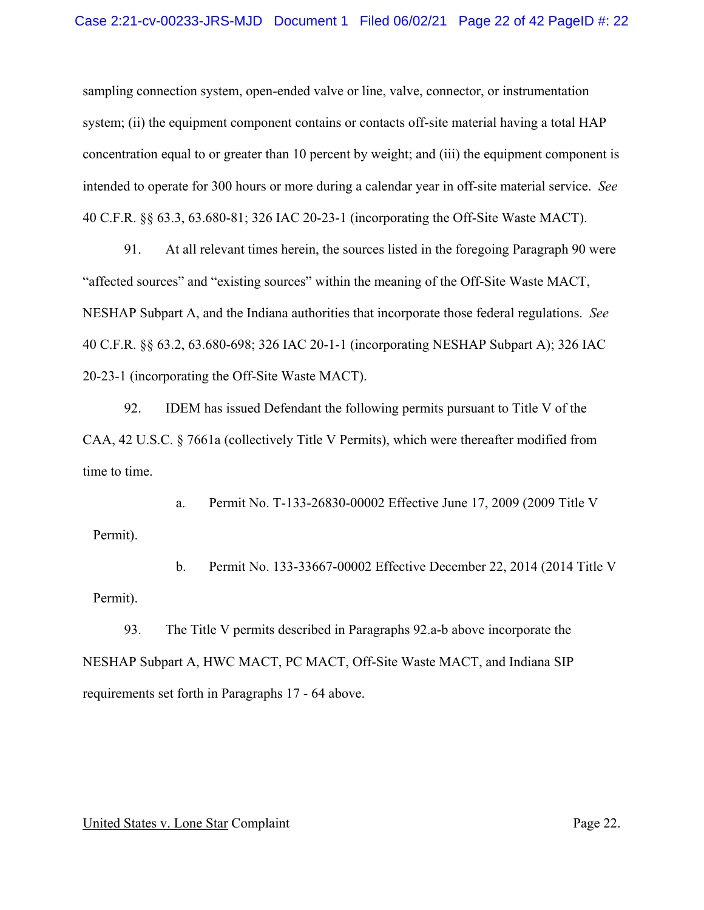sampling connection system, open-ended valve or line, valve, connector, or instrumentation system; (ii) the equipment component contains or contacts off-site material having a total HAP concentration equal to or greater than 10 percent by weight; and (iii) the equipment component is intended to operate for 300 hours or more during a calendar year in off-site material service. *See*  40 C.F.R. §§ 63.3, 63.680-81; 326 IAC 20-23-1 (incorporating the Off-Site Waste MACT).

91. At all relevant times herein, the sources listed in the foregoing Paragraph 90 were "affected sources" and "existing sources" within the meaning of the Off-Site Waste MACT, NESHAP Subpart A, and the Indiana authorities that incorporate those federal regulations. *See*  40 C.F.R. §§ 63.2, 63.680-698; 326 IAC 20-1-1 (incorporating NESHAP Subpart A); 326 IAC 20-23-1 (incorporating the Off-Site Waste MACT).

92. IDEM has issued Defendant the following permits pursuant to Title V of the CAA, 42 U.S.C. § 7661a (collectively Title V Permits), which were thereafter modified from time to time.

a. Permit No. T-133-26830-00002 Effective June 17, 2009 (2009 Title V Permit).

b. Permit No. 133-33667-00002 Effective December 22, 2014 (2014 Title V Permit).

93. The Title V permits described in Paragraphs 92.a-b above incorporate the NESHAP Subpart A, HWC MACT, PC MACT, Off-Site Waste MACT, and Indiana SIP requirements set forth in Paragraphs 17 - 64 above.

## United States v. Lone Star Complaint Page 22.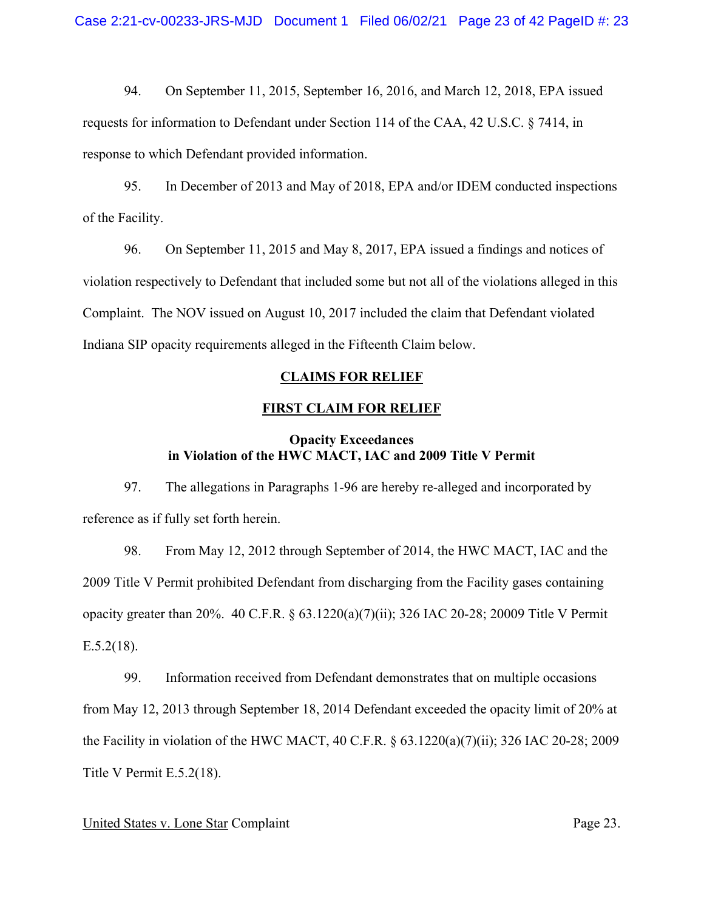94. On September 11, 2015, September 16, 2016, and March 12, 2018, EPA issued requests for information to Defendant under Section 114 of the CAA, 42 U.S.C. § 7414, in response to which Defendant provided information.

95. In December of 2013 and May of 2018, EPA and/or IDEM conducted inspections of the Facility.

96. On September 11, 2015 and May 8, 2017, EPA issued a findings and notices of violation respectively to Defendant that included some but not all of the violations alleged in this Complaint. The NOV issued on August 10, 2017 included the claim that Defendant violated Indiana SIP opacity requirements alleged in the Fifteenth Claim below.

## **CLAIMS FOR RELIEF**

## **FIRST CLAIM FOR RELIEF**

# **Opacity Exceedances in Violation of the HWC MACT, IAC and 2009 Title V Permit**

97. The allegations in Paragraphs 1-96 are hereby re-alleged and incorporated by reference as if fully set forth herein.

98. From May 12, 2012 through September of 2014, the HWC MACT, IAC and the 2009 Title V Permit prohibited Defendant from discharging from the Facility gases containing opacity greater than 20%. 40 C.F.R. § 63.1220(a)(7)(ii); 326 IAC 20-28; 20009 Title V Permit  $E.5.2(18)$ .

99. Information received from Defendant demonstrates that on multiple occasions from May 12, 2013 through September 18, 2014 Defendant exceeded the opacity limit of 20% at the Facility in violation of the HWC MACT, 40 C.F.R. § 63.1220(a)(7)(ii); 326 IAC 20-28; 2009 Title V Permit E.5.2(18).

### United States v. Lone Star Complaint Page 23.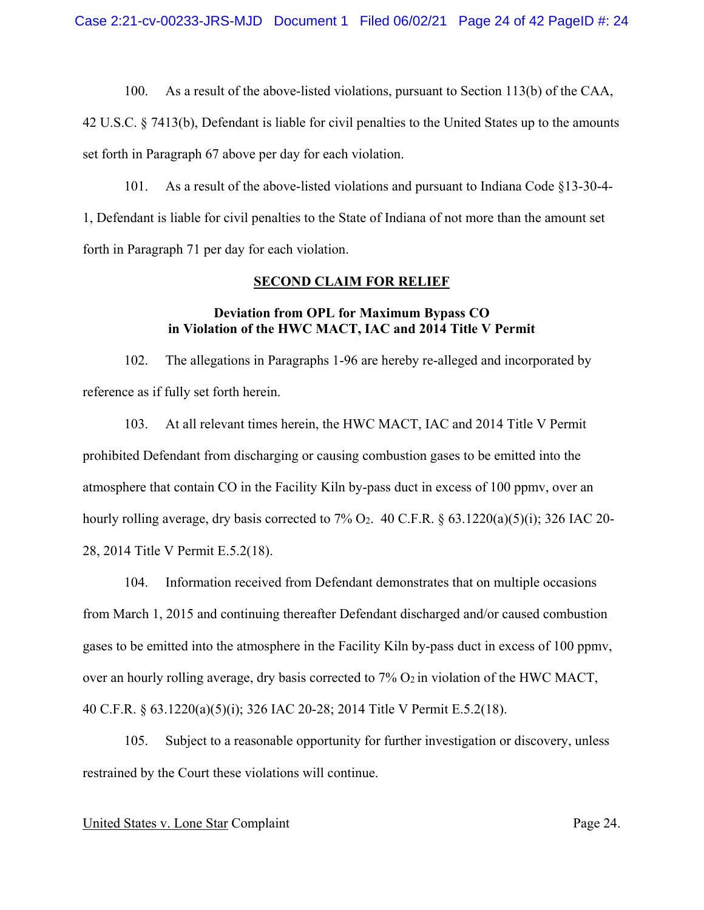42 U.S.C. § 7413(b), Defendant is liable for civil penalties to the United States up to the amounts set forth in Paragraph 67 above per day for each violation.

101. As a result of the above-listed violations and pursuant to Indiana Code §13-30-4- 1, Defendant is liable for civil penalties to the State of Indiana of not more than the amount set forth in Paragraph 71 per day for each violation.

# **SECOND CLAIM FOR RELIEF**

# **Deviation from OPL for Maximum Bypass CO in Violation of the HWC MACT, IAC and 2014 Title V Permit**

102. The allegations in Paragraphs 1-96 are hereby re-alleged and incorporated by reference as if fully set forth herein.

103. At all relevant times herein, the HWC MACT, IAC and 2014 Title V Permit prohibited Defendant from discharging or causing combustion gases to be emitted into the atmosphere that contain CO in the Facility Kiln by-pass duct in excess of 100 ppmv, over an hourly rolling average, dry basis corrected to 7% O<sub>2</sub>. 40 C.F.R.  $\S 63.1220(a)(5)(i)$ ; 326 IAC 20-28, 2014 Title V Permit E.5.2(18).

104. Information received from Defendant demonstrates that on multiple occasions from March 1, 2015 and continuing thereafter Defendant discharged and/or caused combustion gases to be emitted into the atmosphere in the Facility Kiln by-pass duct in excess of 100 ppmv, over an hourly rolling average, dry basis corrected to  $7\%$  O<sub>2</sub> in violation of the HWC MACT, 40 C.F.R. § 63.1220(a)(5)(i); 326 IAC 20-28; 2014 Title V Permit E.5.2(18).

105. Subject to a reasonable opportunity for further investigation or discovery, unless restrained by the Court these violations will continue.

### United States v. Lone Star Complaint Page 24.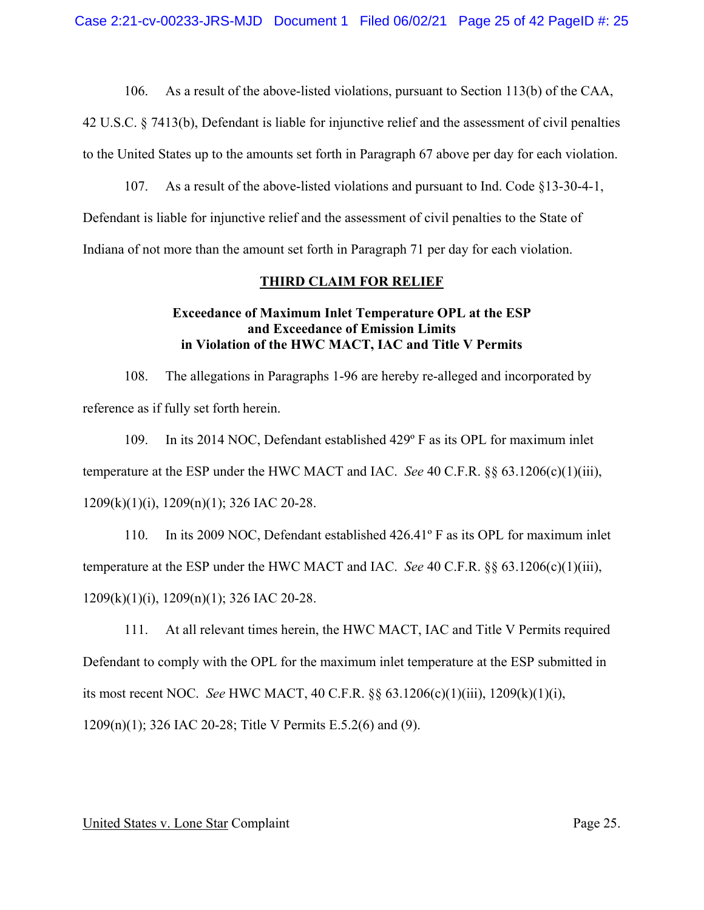42 U.S.C. § 7413(b), Defendant is liable for injunctive relief and the assessment of civil penalties to the United States up to the amounts set forth in Paragraph 67 above per day for each violation.

107. As a result of the above-listed violations and pursuant to Ind. Code §13-30-4-1,

Defendant is liable for injunctive relief and the assessment of civil penalties to the State of

Indiana of not more than the amount set forth in Paragraph 71 per day for each violation.

## **THIRD CLAIM FOR RELIEF**

# **Exceedance of Maximum Inlet Temperature OPL at the ESP and Exceedance of Emission Limits in Violation of the HWC MACT, IAC and Title V Permits**

108. The allegations in Paragraphs 1-96 are hereby re-alleged and incorporated by reference as if fully set forth herein.

109. In its 2014 NOC, Defendant established 429º F as its OPL for maximum inlet temperature at the ESP under the HWC MACT and IAC. *See* 40 C.F.R. §§ 63.1206(c)(1)(iii), 1209(k)(1)(i), 1209(n)(1); 326 IAC 20-28.

110. In its 2009 NOC, Defendant established 426.41º F as its OPL for maximum inlet temperature at the ESP under the HWC MACT and IAC. *See* 40 C.F.R. §§ 63.1206(c)(1)(iii), 1209(k)(1)(i), 1209(n)(1); 326 IAC 20-28.

111. At all relevant times herein, the HWC MACT, IAC and Title V Permits required Defendant to comply with the OPL for the maximum inlet temperature at the ESP submitted in its most recent NOC. *See* HWC MACT, 40 C.F.R. §§ 63.1206(c)(1)(iii), 1209(k)(1)(i), 1209(n)(1); 326 IAC 20-28; Title V Permits E.5.2(6) and (9).

## United States v. Lone Star Complaint Page 25.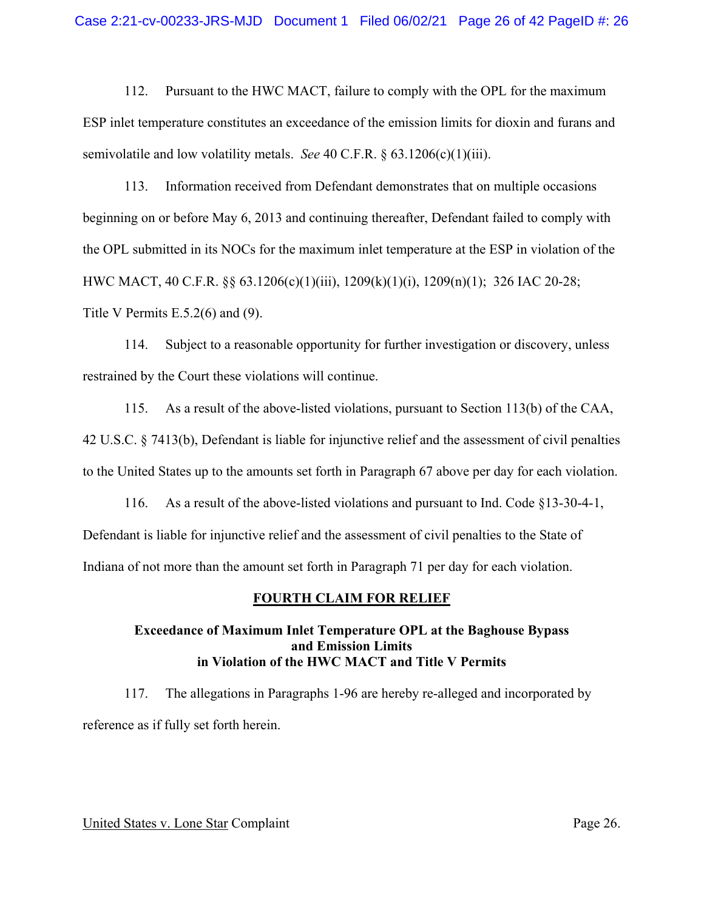112. Pursuant to the HWC MACT, failure to comply with the OPL for the maximum ESP inlet temperature constitutes an exceedance of the emission limits for dioxin and furans and semivolatile and low volatility metals. *See* 40 C.F.R. § 63.1206(c)(1)(iii).

113. Information received from Defendant demonstrates that on multiple occasions beginning on or before May 6, 2013 and continuing thereafter, Defendant failed to comply with the OPL submitted in its NOCs for the maximum inlet temperature at the ESP in violation of the HWC MACT, 40 C.F.R. §§ 63.1206(c)(1)(iii), 1209(k)(1)(i), 1209(n)(1); 326 IAC 20-28; Title V Permits E.5.2(6) and (9).

114. Subject to a reasonable opportunity for further investigation or discovery, unless restrained by the Court these violations will continue.

115. As a result of the above-listed violations, pursuant to Section 113(b) of the CAA, 42 U.S.C. § 7413(b), Defendant is liable for injunctive relief and the assessment of civil penalties to the United States up to the amounts set forth in Paragraph 67 above per day for each violation.

116. As a result of the above-listed violations and pursuant to Ind. Code §13-30-4-1, Defendant is liable for injunctive relief and the assessment of civil penalties to the State of Indiana of not more than the amount set forth in Paragraph 71 per day for each violation.

## **FOURTH CLAIM FOR RELIEF**

# **Exceedance of Maximum Inlet Temperature OPL at the Baghouse Bypass and Emission Limits in Violation of the HWC MACT and Title V Permits**

117. The allegations in Paragraphs 1-96 are hereby re-alleged and incorporated by reference as if fully set forth herein.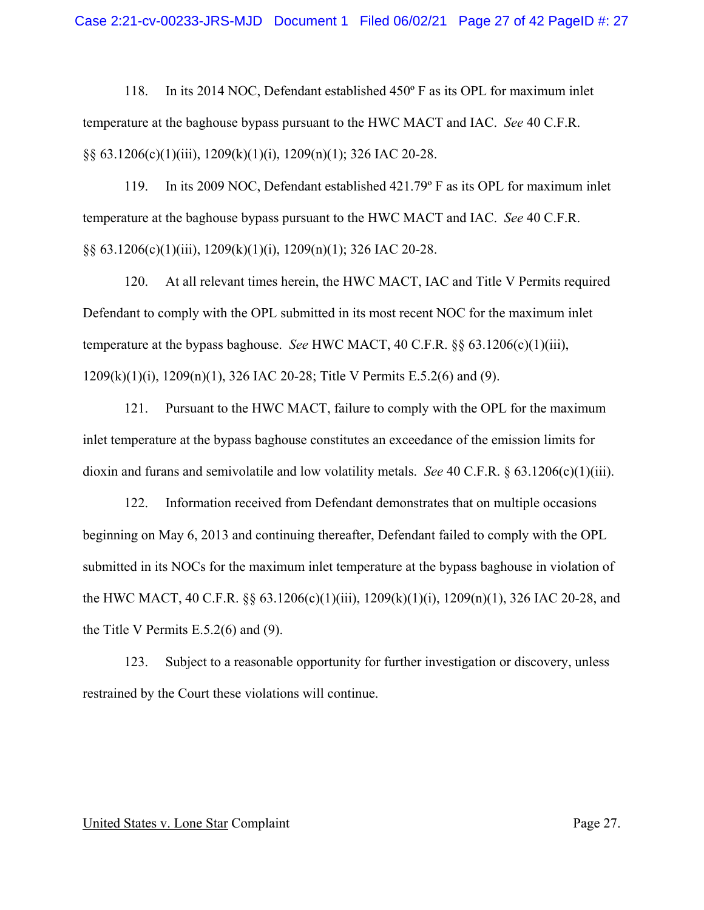118. In its 2014 NOC, Defendant established 450º F as its OPL for maximum inlet temperature at the baghouse bypass pursuant to the HWC MACT and IAC. *See* 40 C.F.R. §§ 63.1206(c)(1)(iii), 1209(k)(1)(i), 1209(n)(1); 326 IAC 20-28.

119. In its 2009 NOC, Defendant established 421.79º F as its OPL for maximum inlet temperature at the baghouse bypass pursuant to the HWC MACT and IAC. *See* 40 C.F.R. §§ 63.1206(c)(1)(iii), 1209(k)(1)(i), 1209(n)(1); 326 IAC 20-28.

120. At all relevant times herein, the HWC MACT, IAC and Title V Permits required Defendant to comply with the OPL submitted in its most recent NOC for the maximum inlet temperature at the bypass baghouse. *See* HWC MACT, 40 C.F.R. §§ 63.1206(c)(1)(iii), 1209(k)(1)(i), 1209(n)(1), 326 IAC 20-28; Title V Permits E.5.2(6) and (9).

121. Pursuant to the HWC MACT, failure to comply with the OPL for the maximum inlet temperature at the bypass baghouse constitutes an exceedance of the emission limits for dioxin and furans and semivolatile and low volatility metals. *See* 40 C.F.R. § 63.1206(c)(1)(iii).

122. Information received from Defendant demonstrates that on multiple occasions beginning on May 6, 2013 and continuing thereafter, Defendant failed to comply with the OPL submitted in its NOCs for the maximum inlet temperature at the bypass baghouse in violation of the HWC MACT, 40 C.F.R. §§ 63.1206(c)(1)(iii), 1209(k)(1)(i), 1209(n)(1), 326 IAC 20-28, and the Title V Permits E.5.2(6) and (9).

123. Subject to a reasonable opportunity for further investigation or discovery, unless restrained by the Court these violations will continue.

### United States v. Lone Star Complaint Page 27.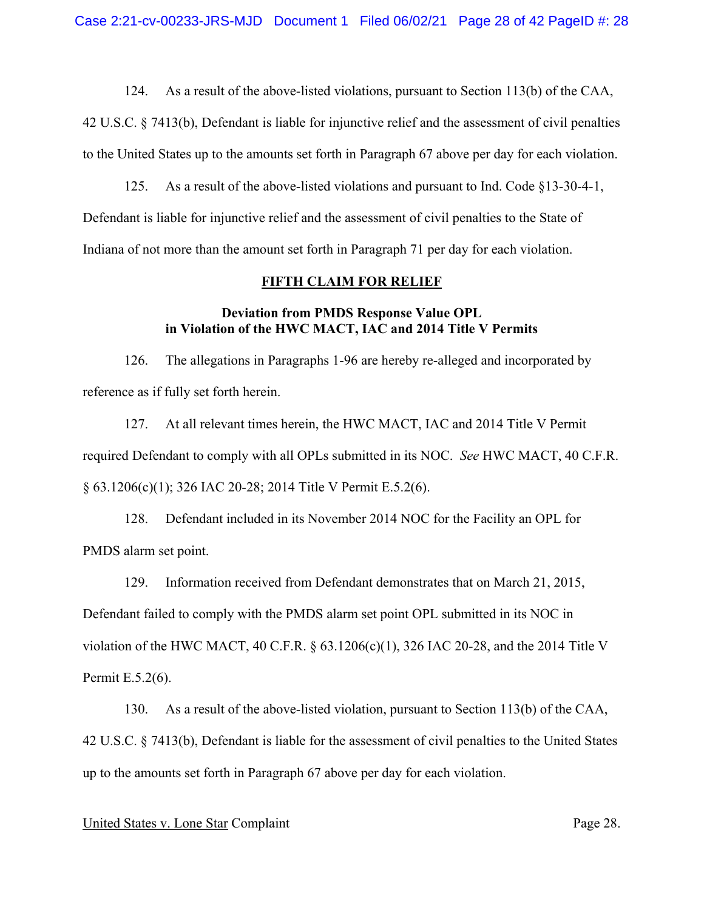42 U.S.C. § 7413(b), Defendant is liable for injunctive relief and the assessment of civil penalties to the United States up to the amounts set forth in Paragraph 67 above per day for each violation.

125. As a result of the above-listed violations and pursuant to Ind. Code §13-30-4-1, Defendant is liable for injunctive relief and the assessment of civil penalties to the State of Indiana of not more than the amount set forth in Paragraph 71 per day for each violation.

#### **FIFTH CLAIM FOR RELIEF**

# **Deviation from PMDS Response Value OPL in Violation of the HWC MACT, IAC and 2014 Title V Permits**

126. The allegations in Paragraphs 1-96 are hereby re-alleged and incorporated by reference as if fully set forth herein.

127. At all relevant times herein, the HWC MACT, IAC and 2014 Title V Permit required Defendant to comply with all OPLs submitted in its NOC. *See* HWC MACT, 40 C.F.R. § 63.1206(c)(1); 326 IAC 20-28; 2014 Title V Permit E.5.2(6).

128. Defendant included in its November 2014 NOC for the Facility an OPL for PMDS alarm set point.

129. Information received from Defendant demonstrates that on March 21, 2015,

Defendant failed to comply with the PMDS alarm set point OPL submitted in its NOC in

violation of the HWC MACT, 40 C.F.R. § 63.1206(c)(1), 326 IAC 20-28, and the 2014 Title V Permit E.5.2(6).

130. As a result of the above-listed violation, pursuant to Section 113(b) of the CAA, 42 U.S.C. § 7413(b), Defendant is liable for the assessment of civil penalties to the United States up to the amounts set forth in Paragraph 67 above per day for each violation.

### United States v. Lone Star Complaint Page 28.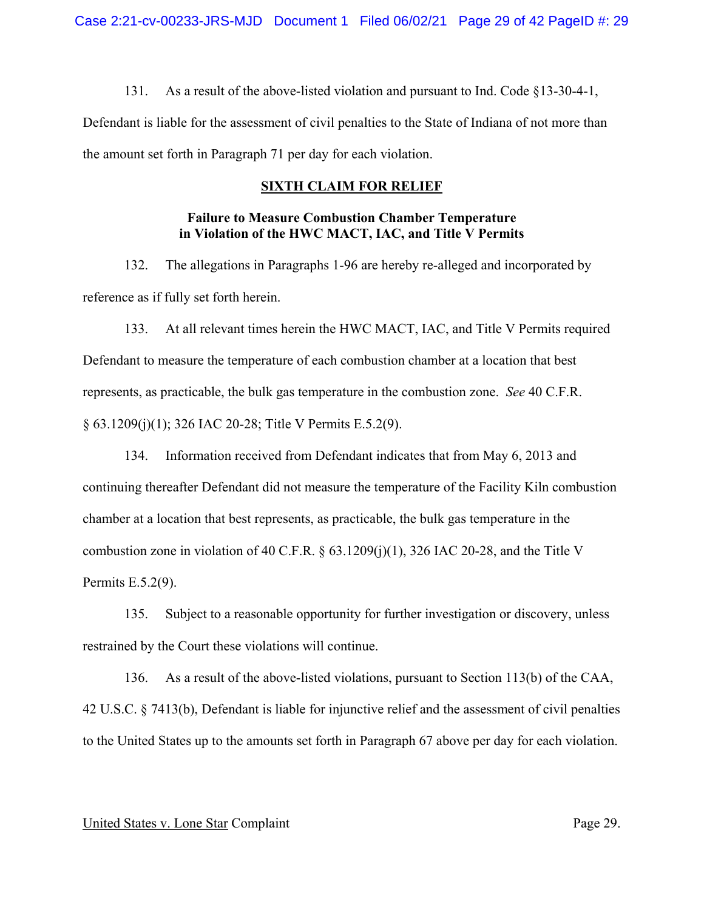131. As a result of the above-listed violation and pursuant to Ind. Code §13-30-4-1, Defendant is liable for the assessment of civil penalties to the State of Indiana of not more than the amount set forth in Paragraph 71 per day for each violation.

# **SIXTH CLAIM FOR RELIEF**

# **Failure to Measure Combustion Chamber Temperature in Violation of the HWC MACT, IAC, and Title V Permits**

132. The allegations in Paragraphs 1-96 are hereby re-alleged and incorporated by reference as if fully set forth herein.

133. At all relevant times herein the HWC MACT, IAC, and Title V Permits required Defendant to measure the temperature of each combustion chamber at a location that best represents, as practicable, the bulk gas temperature in the combustion zone. *See* 40 C.F.R. § 63.1209(j)(1); 326 IAC 20-28; Title V Permits E.5.2(9).

134. Information received from Defendant indicates that from May 6, 2013 and continuing thereafter Defendant did not measure the temperature of the Facility Kiln combustion chamber at a location that best represents, as practicable, the bulk gas temperature in the combustion zone in violation of 40 C.F.R. § 63.1209(j)(1), 326 IAC 20-28, and the Title V Permits E.5.2(9).

135. Subject to a reasonable opportunity for further investigation or discovery, unless restrained by the Court these violations will continue.

136. As a result of the above-listed violations, pursuant to Section 113(b) of the CAA, 42 U.S.C. § 7413(b), Defendant is liable for injunctive relief and the assessment of civil penalties to the United States up to the amounts set forth in Paragraph 67 above per day for each violation.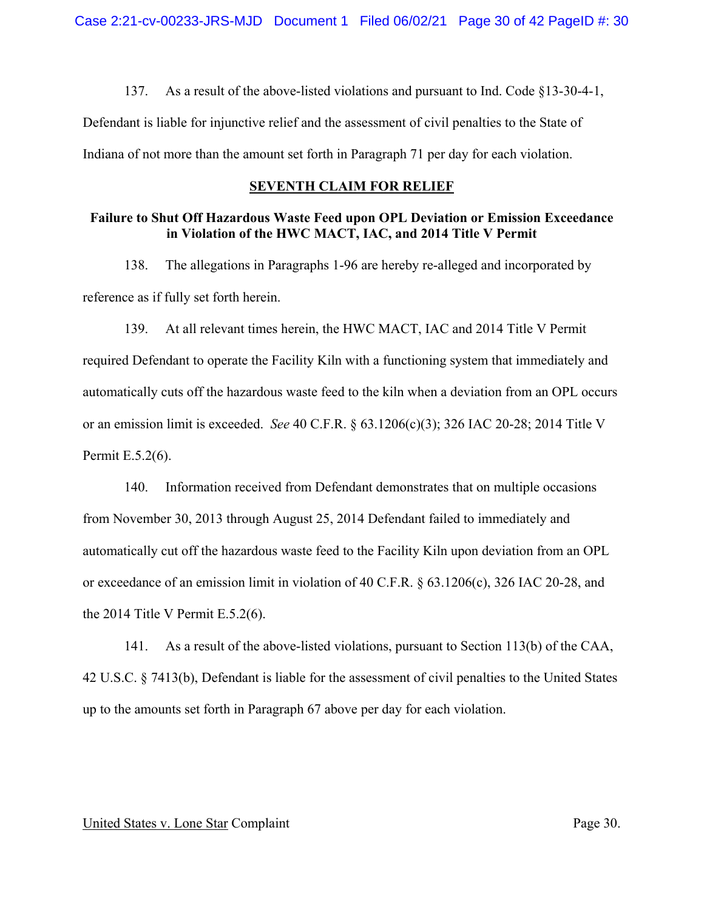137. As a result of the above-listed violations and pursuant to Ind. Code §13-30-4-1,

Defendant is liable for injunctive relief and the assessment of civil penalties to the State of Indiana of not more than the amount set forth in Paragraph 71 per day for each violation.

## **SEVENTH CLAIM FOR RELIEF**

# **Failure to Shut Off Hazardous Waste Feed upon OPL Deviation or Emission Exceedance in Violation of the HWC MACT, IAC, and 2014 Title V Permit**

138. The allegations in Paragraphs 1-96 are hereby re-alleged and incorporated by reference as if fully set forth herein.

139. At all relevant times herein, the HWC MACT, IAC and 2014 Title V Permit required Defendant to operate the Facility Kiln with a functioning system that immediately and automatically cuts off the hazardous waste feed to the kiln when a deviation from an OPL occurs or an emission limit is exceeded. *See* 40 C.F.R. § 63.1206(c)(3); 326 IAC 20-28; 2014 Title V Permit E.5.2(6).

140. Information received from Defendant demonstrates that on multiple occasions from November 30, 2013 through August 25, 2014 Defendant failed to immediately and automatically cut off the hazardous waste feed to the Facility Kiln upon deviation from an OPL or exceedance of an emission limit in violation of 40 C.F.R. § 63.1206(c), 326 IAC 20-28, and the 2014 Title V Permit E.5.2(6).

141. As a result of the above-listed violations, pursuant to Section 113(b) of the CAA, 42 U.S.C. § 7413(b), Defendant is liable for the assessment of civil penalties to the United States up to the amounts set forth in Paragraph 67 above per day for each violation.

#### United States v. Lone Star Complaint Page 30.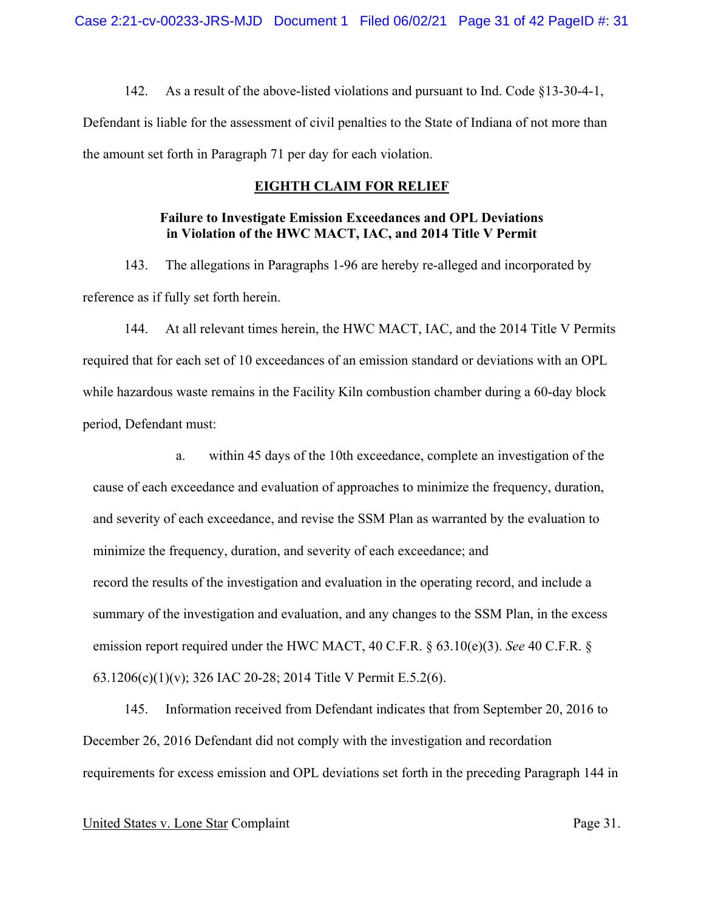142. As a result of the above-listed violations and pursuant to Ind. Code §13-30-4-1, Defendant is liable for the assessment of civil penalties to the State of Indiana of not more than the amount set forth in Paragraph 71 per day for each violation.

## **EIGHTH CLAIM FOR RELIEF**

# **Failure to Investigate Emission Exceedances and OPL Deviations in Violation of the HWC MACT, IAC, and 2014 Title V Permit**

143. The allegations in Paragraphs 1-96 are hereby re-alleged and incorporated by reference as if fully set forth herein.

144. At all relevant times herein, the HWC MACT, IAC, and the 2014 Title V Permits required that for each set of 10 exceedances of an emission standard or deviations with an OPL while hazardous waste remains in the Facility Kiln combustion chamber during a 60-day block period, Defendant must:

a. within 45 days of the 10th exceedance, complete an investigation of the cause of each exceedance and evaluation of approaches to minimize the frequency, duration, and severity of each exceedance, and revise the SSM Plan as warranted by the evaluation to minimize the frequency, duration, and severity of each exceedance; and record the results of the investigation and evaluation in the operating record, and include a summary of the investigation and evaluation, and any changes to the SSM Plan, in the excess emission report required under the HWC MACT, 40 C.F.R. § 63.10(e)(3). *See* 40 C.F.R. § 63.1206(c)(1)(v); 326 IAC 20-28; 2014 Title V Permit E.5.2(6).

145. Information received from Defendant indicates that from September 20, 2016 to December 26, 2016 Defendant did not comply with the investigation and recordation requirements for excess emission and OPL deviations set forth in the preceding Paragraph 144 in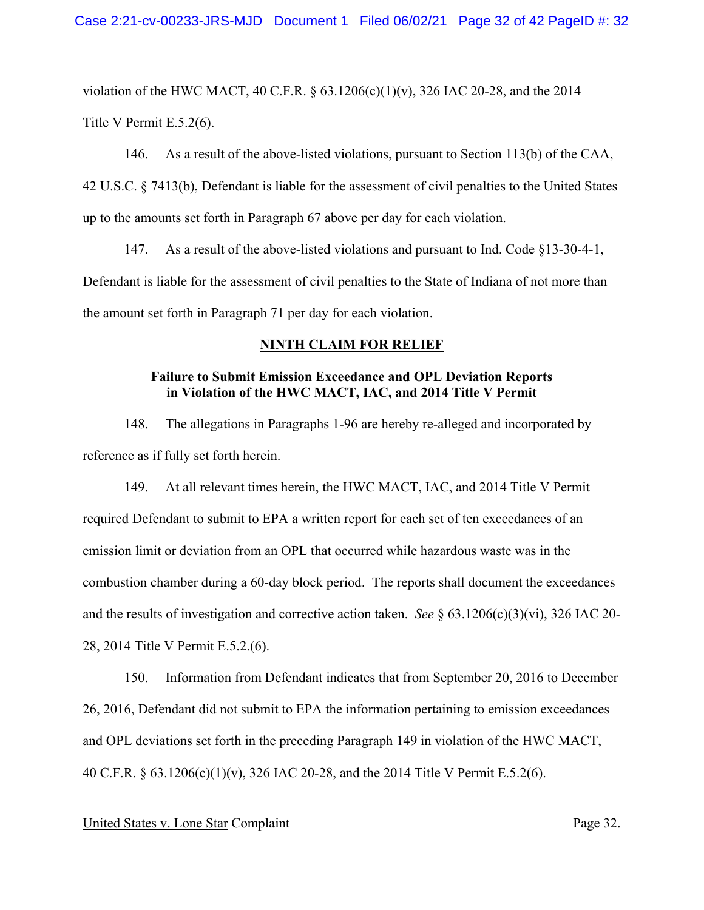violation of the HWC MACT, 40 C.F.R. § 63.1206(c)(1)(v), 326 IAC 20-28, and the 2014 Title V Permit E.5.2(6).

146. As a result of the above-listed violations, pursuant to Section 113(b) of the CAA, 42 U.S.C. § 7413(b), Defendant is liable for the assessment of civil penalties to the United States up to the amounts set forth in Paragraph 67 above per day for each violation.

147. As a result of the above-listed violations and pursuant to Ind. Code §13-30-4-1, Defendant is liable for the assessment of civil penalties to the State of Indiana of not more than the amount set forth in Paragraph 71 per day for each violation.

## **NINTH CLAIM FOR RELIEF**

# **Failure to Submit Emission Exceedance and OPL Deviation Reports in Violation of the HWC MACT, IAC, and 2014 Title V Permit**

148. The allegations in Paragraphs 1-96 are hereby re-alleged and incorporated by reference as if fully set forth herein.

149. At all relevant times herein, the HWC MACT, IAC, and 2014 Title V Permit required Defendant to submit to EPA a written report for each set of ten exceedances of an emission limit or deviation from an OPL that occurred while hazardous waste was in the combustion chamber during a 60-day block period. The reports shall document the exceedances and the results of investigation and corrective action taken. *See* § 63.1206(c)(3)(vi), 326 IAC 20- 28, 2014 Title V Permit E.5.2.(6).

150. Information from Defendant indicates that from September 20, 2016 to December 26, 2016, Defendant did not submit to EPA the information pertaining to emission exceedances and OPL deviations set forth in the preceding Paragraph 149 in violation of the HWC MACT, 40 C.F.R. § 63.1206(c)(1)(v), 326 IAC 20-28, and the 2014 Title V Permit E.5.2(6).

### United States v. Lone Star Complaint Page 32.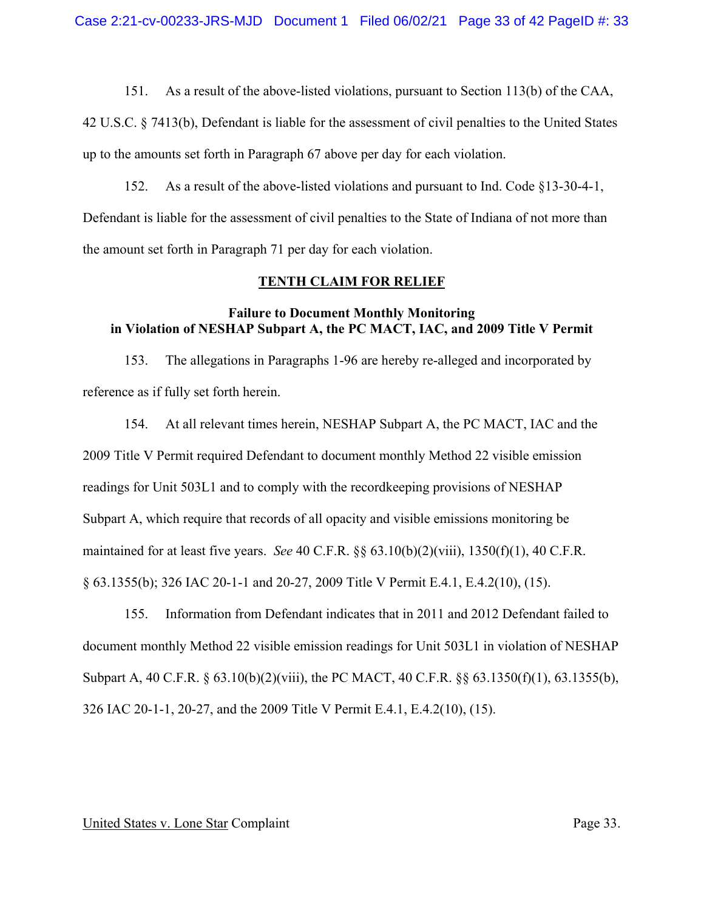42 U.S.C. § 7413(b), Defendant is liable for the assessment of civil penalties to the United States up to the amounts set forth in Paragraph 67 above per day for each violation.

152. As a result of the above-listed violations and pursuant to Ind. Code §13-30-4-1, Defendant is liable for the assessment of civil penalties to the State of Indiana of not more than the amount set forth in Paragraph 71 per day for each violation.

### **TENTH CLAIM FOR RELIEF**

## **Failure to Document Monthly Monitoring in Violation of NESHAP Subpart A, the PC MACT, IAC, and 2009 Title V Permit**

153. The allegations in Paragraphs 1-96 are hereby re-alleged and incorporated by reference as if fully set forth herein.

154. At all relevant times herein, NESHAP Subpart A, the PC MACT, IAC and the 2009 Title V Permit required Defendant to document monthly Method 22 visible emission readings for Unit 503L1 and to comply with the recordkeeping provisions of NESHAP Subpart A, which require that records of all opacity and visible emissions monitoring be maintained for at least five years. *See* 40 C.F.R. §§ 63.10(b)(2)(viii), 1350(f)(1), 40 C.F.R. § 63.1355(b); 326 IAC 20-1-1 and 20-27, 2009 Title V Permit E.4.1, E.4.2(10), (15).

155. Information from Defendant indicates that in 2011 and 2012 Defendant failed to document monthly Method 22 visible emission readings for Unit 503L1 in violation of NESHAP Subpart A, 40 C.F.R. § 63.10(b)(2)(viii), the PC MACT, 40 C.F.R. §§ 63.1350(f)(1), 63.1355(b), 326 IAC 20-1-1, 20-27, and the 2009 Title V Permit E.4.1, E.4.2(10), (15).

#### United States v. Lone Star Complaint Page 33.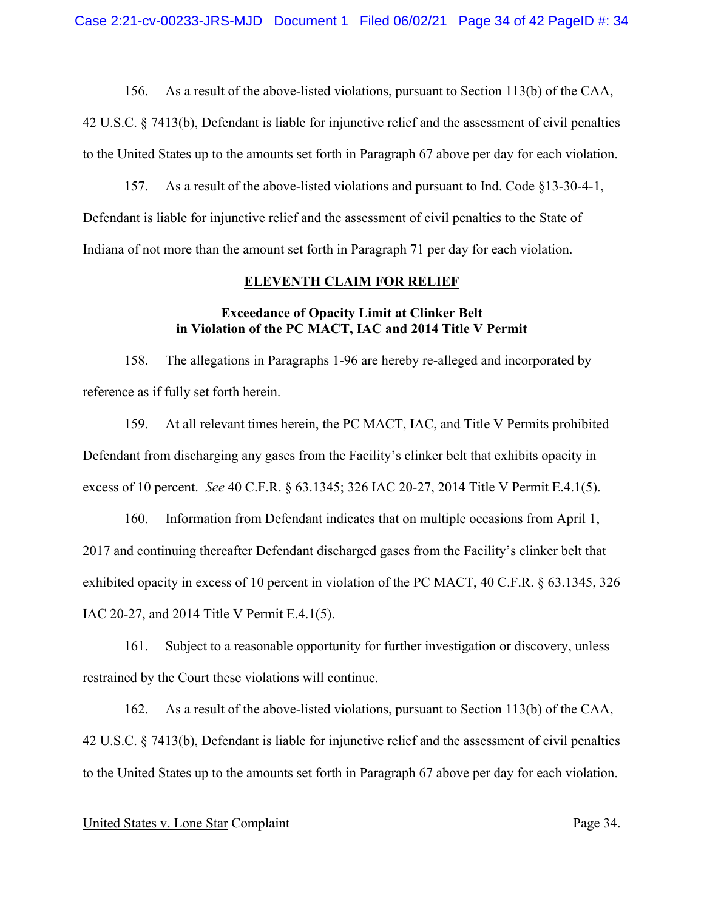42 U.S.C. § 7413(b), Defendant is liable for injunctive relief and the assessment of civil penalties to the United States up to the amounts set forth in Paragraph 67 above per day for each violation.

157. As a result of the above-listed violations and pursuant to Ind. Code §13-30-4-1, Defendant is liable for injunctive relief and the assessment of civil penalties to the State of Indiana of not more than the amount set forth in Paragraph 71 per day for each violation.

#### **ELEVENTH CLAIM FOR RELIEF**

# **Exceedance of Opacity Limit at Clinker Belt in Violation of the PC MACT, IAC and 2014 Title V Permit**

158. The allegations in Paragraphs 1-96 are hereby re-alleged and incorporated by reference as if fully set forth herein.

159. At all relevant times herein, the PC MACT, IAC, and Title V Permits prohibited Defendant from discharging any gases from the Facility's clinker belt that exhibits opacity in excess of 10 percent. *See* 40 C.F.R. § 63.1345; 326 IAC 20-27, 2014 Title V Permit E.4.1(5).

160. Information from Defendant indicates that on multiple occasions from April 1, 2017 and continuing thereafter Defendant discharged gases from the Facility's clinker belt that exhibited opacity in excess of 10 percent in violation of the PC MACT, 40 C.F.R. § 63.1345, 326 IAC 20-27, and 2014 Title V Permit E.4.1(5).

161. Subject to a reasonable opportunity for further investigation or discovery, unless restrained by the Court these violations will continue.

162. As a result of the above-listed violations, pursuant to Section 113(b) of the CAA, 42 U.S.C. § 7413(b), Defendant is liable for injunctive relief and the assessment of civil penalties to the United States up to the amounts set forth in Paragraph 67 above per day for each violation.

## United States v. Lone Star Complaint Page 34.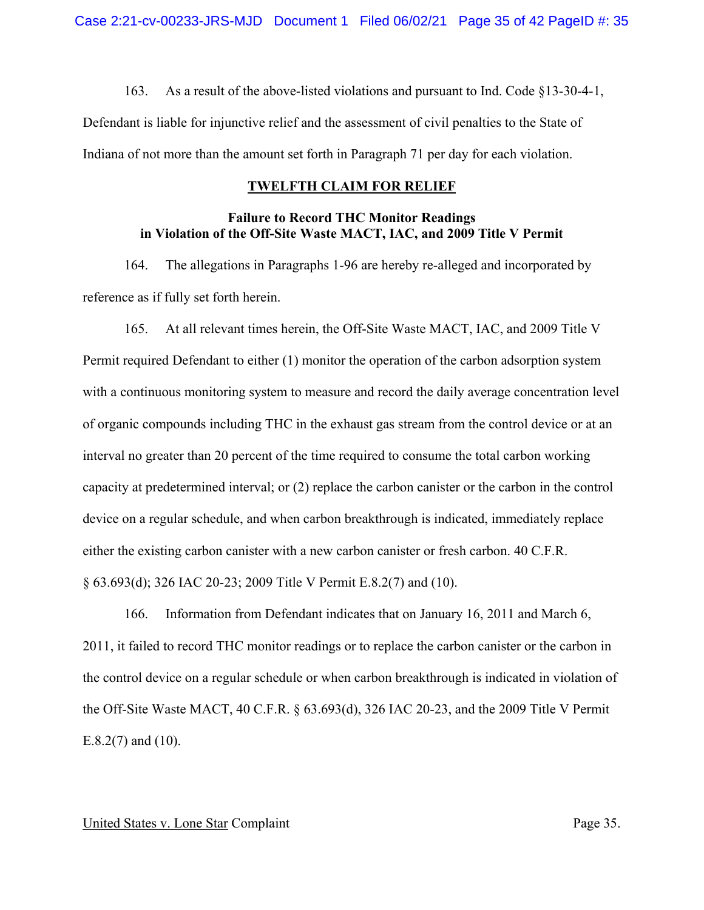163. As a result of the above-listed violations and pursuant to Ind. Code §13-30-4-1,

Defendant is liable for injunctive relief and the assessment of civil penalties to the State of Indiana of not more than the amount set forth in Paragraph 71 per day for each violation.

# **TWELFTH CLAIM FOR RELIEF**

# **Failure to Record THC Monitor Readings in Violation of the Off-Site Waste MACT, IAC, and 2009 Title V Permit**

164. The allegations in Paragraphs 1-96 are hereby re-alleged and incorporated by reference as if fully set forth herein.

165. At all relevant times herein, the Off-Site Waste MACT, IAC, and 2009 Title V Permit required Defendant to either (1) monitor the operation of the carbon adsorption system with a continuous monitoring system to measure and record the daily average concentration level of organic compounds including THC in the exhaust gas stream from the control device or at an interval no greater than 20 percent of the time required to consume the total carbon working capacity at predetermined interval; or (2) replace the carbon canister or the carbon in the control device on a regular schedule, and when carbon breakthrough is indicated, immediately replace either the existing carbon canister with a new carbon canister or fresh carbon. 40 C.F.R. § 63.693(d); 326 IAC 20-23; 2009 Title V Permit E.8.2(7) and (10).

166. Information from Defendant indicates that on January 16, 2011 and March 6, 2011, it failed to record THC monitor readings or to replace the carbon canister or the carbon in the control device on a regular schedule or when carbon breakthrough is indicated in violation of the Off-Site Waste MACT, 40 C.F.R. § 63.693(d), 326 IAC 20-23, and the 2009 Title V Permit E.8.2(7) and (10).

### United States v. Lone Star Complaint Page 35.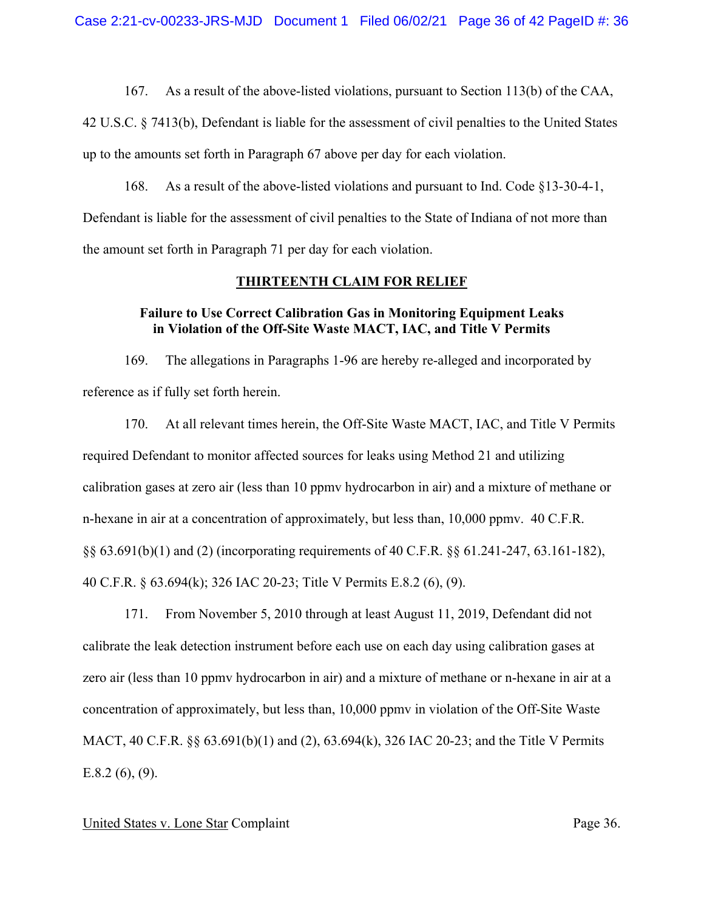42 U.S.C. § 7413(b), Defendant is liable for the assessment of civil penalties to the United States up to the amounts set forth in Paragraph 67 above per day for each violation.

168. As a result of the above-listed violations and pursuant to Ind. Code §13-30-4-1, Defendant is liable for the assessment of civil penalties to the State of Indiana of not more than the amount set forth in Paragraph 71 per day for each violation.

## **THIRTEENTH CLAIM FOR RELIEF**

## **Failure to Use Correct Calibration Gas in Monitoring Equipment Leaks in Violation of the Off-Site Waste MACT, IAC, and Title V Permits**

169. The allegations in Paragraphs 1-96 are hereby re-alleged and incorporated by reference as if fully set forth herein.

170. At all relevant times herein, the Off-Site Waste MACT, IAC, and Title V Permits required Defendant to monitor affected sources for leaks using Method 21 and utilizing calibration gases at zero air (less than 10 ppmv hydrocarbon in air) and a mixture of methane or n-hexane in air at a concentration of approximately, but less than, 10,000 ppmv. 40 C.F.R. §§ 63.691(b)(1) and (2) (incorporating requirements of 40 C.F.R. §§ 61.241-247, 63.161-182), 40 C.F.R. § 63.694(k); 326 IAC 20-23; Title V Permits E.8.2 (6), (9).

171. From November 5, 2010 through at least August 11, 2019, Defendant did not calibrate the leak detection instrument before each use on each day using calibration gases at zero air (less than 10 ppmv hydrocarbon in air) and a mixture of methane or n-hexane in air at a concentration of approximately, but less than, 10,000 ppmv in violation of the Off-Site Waste MACT, 40 C.F.R. §§ 63.691(b)(1) and (2), 63.694(k), 326 IAC 20-23; and the Title V Permits  $E.8.2(6)$ ,  $(9)$ .

### United States v. Lone Star Complaint Page 36.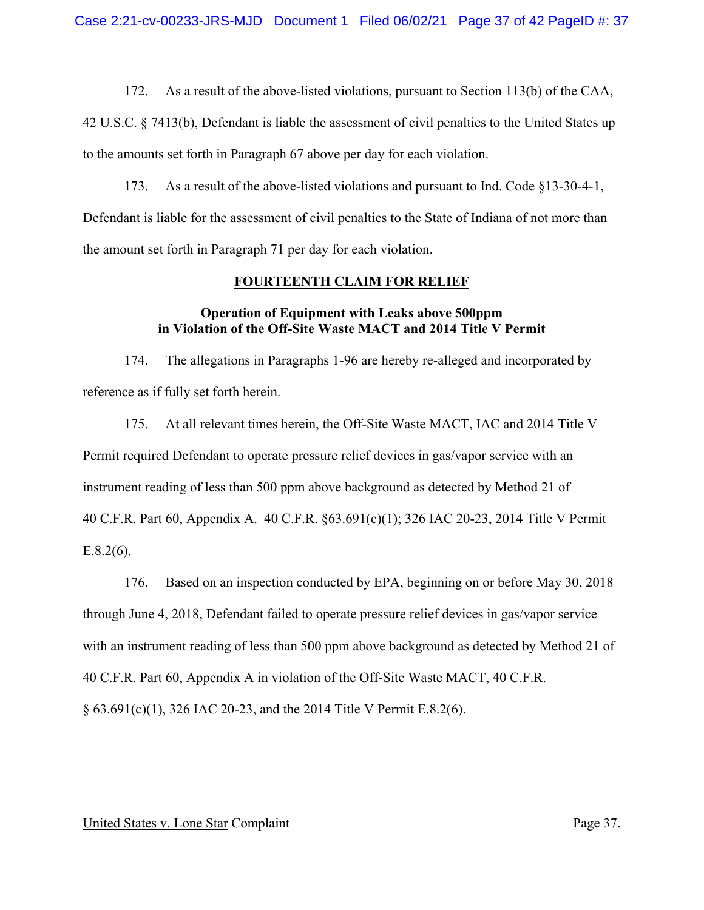42 U.S.C. § 7413(b), Defendant is liable the assessment of civil penalties to the United States up to the amounts set forth in Paragraph 67 above per day for each violation.

173. As a result of the above-listed violations and pursuant to Ind. Code §13-30-4-1, Defendant is liable for the assessment of civil penalties to the State of Indiana of not more than the amount set forth in Paragraph 71 per day for each violation.

#### **FOURTEENTH CLAIM FOR RELIEF**

## **Operation of Equipment with Leaks above 500ppm in Violation of the Off-Site Waste MACT and 2014 Title V Permit**

174. The allegations in Paragraphs 1-96 are hereby re-alleged and incorporated by reference as if fully set forth herein.

175. At all relevant times herein, the Off-Site Waste MACT, IAC and 2014 Title V Permit required Defendant to operate pressure relief devices in gas/vapor service with an instrument reading of less than 500 ppm above background as detected by Method 21 of 40 C.F.R. Part 60, Appendix A. 40 C.F.R. §63.691(c)(1); 326 IAC 20-23, 2014 Title V Permit  $E.8.2(6)$ .

176. Based on an inspection conducted by EPA, beginning on or before May 30, 2018 through June 4, 2018, Defendant failed to operate pressure relief devices in gas/vapor service with an instrument reading of less than 500 ppm above background as detected by Method 21 of 40 C.F.R. Part 60, Appendix A in violation of the Off-Site Waste MACT, 40 C.F.R. § 63.691(c)(1), 326 IAC 20-23, and the 2014 Title V Permit E.8.2(6).

#### United States v. Lone Star Complaint Page 37.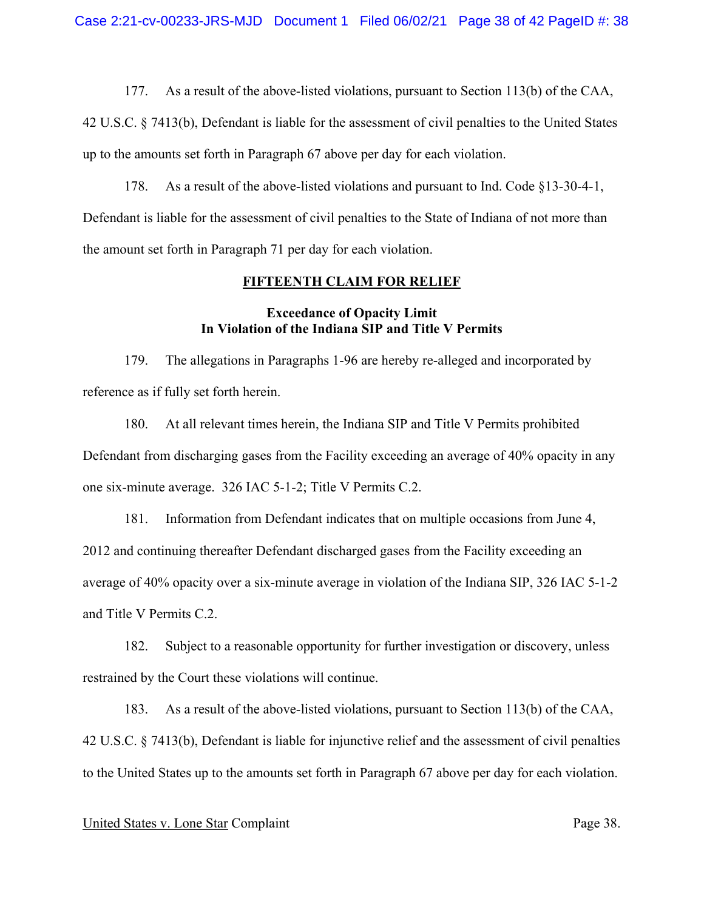42 U.S.C. § 7413(b), Defendant is liable for the assessment of civil penalties to the United States up to the amounts set forth in Paragraph 67 above per day for each violation.

178. As a result of the above-listed violations and pursuant to Ind. Code §13-30-4-1, Defendant is liable for the assessment of civil penalties to the State of Indiana of not more than the amount set forth in Paragraph 71 per day for each violation.

#### **FIFTEENTH CLAIM FOR RELIEF**

## **Exceedance of Opacity Limit In Violation of the Indiana SIP and Title V Permits**

179. The allegations in Paragraphs 1-96 are hereby re-alleged and incorporated by reference as if fully set forth herein.

180. At all relevant times herein, the Indiana SIP and Title V Permits prohibited Defendant from discharging gases from the Facility exceeding an average of 40% opacity in any one six-minute average. 326 IAC 5-1-2; Title V Permits C.2.

181. Information from Defendant indicates that on multiple occasions from June 4, 2012 and continuing thereafter Defendant discharged gases from the Facility exceeding an average of 40% opacity over a six-minute average in violation of the Indiana SIP, 326 IAC 5-1-2 and Title V Permits C.2.

182. Subject to a reasonable opportunity for further investigation or discovery, unless restrained by the Court these violations will continue.

183. As a result of the above-listed violations, pursuant to Section 113(b) of the CAA, 42 U.S.C. § 7413(b), Defendant is liable for injunctive relief and the assessment of civil penalties to the United States up to the amounts set forth in Paragraph 67 above per day for each violation.

### United States v. Lone Star Complaint Page 38.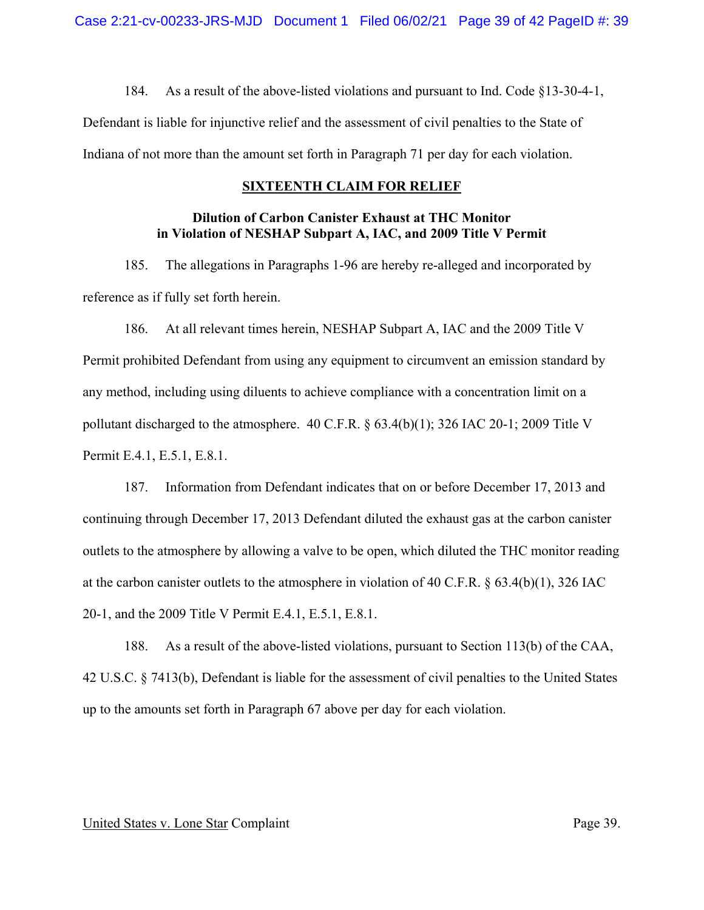184. As a result of the above-listed violations and pursuant to Ind. Code §13-30-4-1,

Defendant is liable for injunctive relief and the assessment of civil penalties to the State of Indiana of not more than the amount set forth in Paragraph 71 per day for each violation.

#### **SIXTEENTH CLAIM FOR RELIEF**

# **Dilution of Carbon Canister Exhaust at THC Monitor in Violation of NESHAP Subpart A, IAC, and 2009 Title V Permit**

185. The allegations in Paragraphs 1-96 are hereby re-alleged and incorporated by reference as if fully set forth herein.

186. At all relevant times herein, NESHAP Subpart A, IAC and the 2009 Title V Permit prohibited Defendant from using any equipment to circumvent an emission standard by any method, including using diluents to achieve compliance with a concentration limit on a pollutant discharged to the atmosphere. 40 C.F.R. § 63.4(b)(1); 326 IAC 20-1; 2009 Title V Permit E.4.1, E.5.1, E.8.1.

187. Information from Defendant indicates that on or before December 17, 2013 and continuing through December 17, 2013 Defendant diluted the exhaust gas at the carbon canister outlets to the atmosphere by allowing a valve to be open, which diluted the THC monitor reading at the carbon canister outlets to the atmosphere in violation of 40 C.F.R. § 63.4(b)(1), 326 IAC 20-1, and the 2009 Title V Permit E.4.1, E.5.1, E.8.1.

188. As a result of the above-listed violations, pursuant to Section 113(b) of the CAA, 42 U.S.C. § 7413(b), Defendant is liable for the assessment of civil penalties to the United States up to the amounts set forth in Paragraph 67 above per day for each violation.

### United States v. Lone Star Complaint Page 39.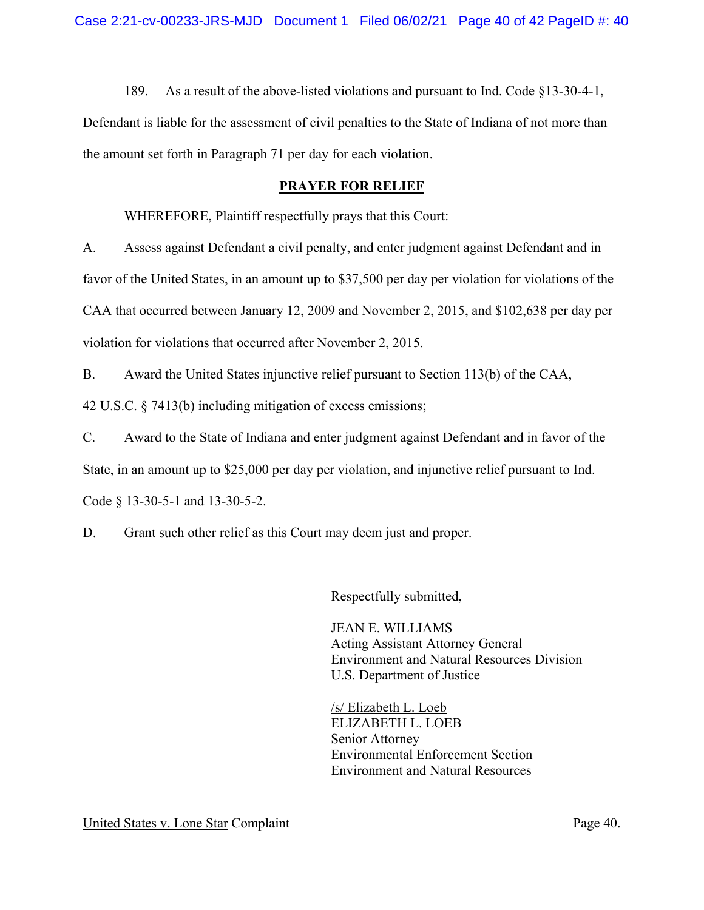189. As a result of the above-listed violations and pursuant to Ind. Code §13-30-4-1, Defendant is liable for the assessment of civil penalties to the State of Indiana of not more than the amount set forth in Paragraph 71 per day for each violation.

## **PRAYER FOR RELIEF**

WHEREFORE, Plaintiff respectfully prays that this Court:

A. Assess against Defendant a civil penalty, and enter judgment against Defendant and in favor of the United States, in an amount up to \$37,500 per day per violation for violations of the CAA that occurred between January 12, 2009 and November 2, 2015, and \$102,638 per day per violation for violations that occurred after November 2, 2015.

B. Award the United States injunctive relief pursuant to Section 113(b) of the CAA,

42 U.S.C. § 7413(b) including mitigation of excess emissions;

C. Award to the State of Indiana and enter judgment against Defendant and in favor of the State, in an amount up to \$25,000 per day per violation, and injunctive relief pursuant to Ind. Code § 13-30-5-1 and 13-30-5-2.

D. Grant such other relief as this Court may deem just and proper.

Respectfully submitted,

JEAN E. WILLIAMS Acting Assistant Attorney General Environment and Natural Resources Division U.S. Department of Justice

/s/ Elizabeth L. Loeb ELIZABETH L. LOEB Senior Attorney Environmental Enforcement Section Environment and Natural Resources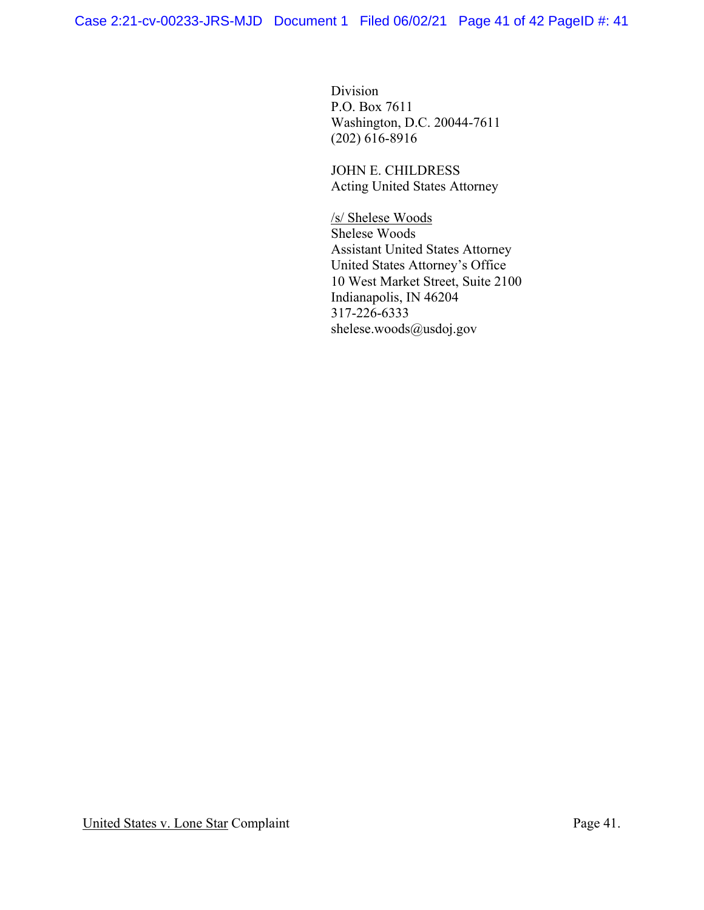Division P.O. Box 7611 Washington, D.C. 20044-7611 (202) 616-8916

 JOHN E. CHILDRESS Acting United States Attorney

/s/ Shelese Woods Shelese Woods Assistant United States Attorney United States Attorney's Office 10 West Market Street, Suite 2100 Indianapolis, IN 46204 317-226-6333 [shelese.woods@usdoj.gov](mailto:shelese.woods@usdoj.gov)